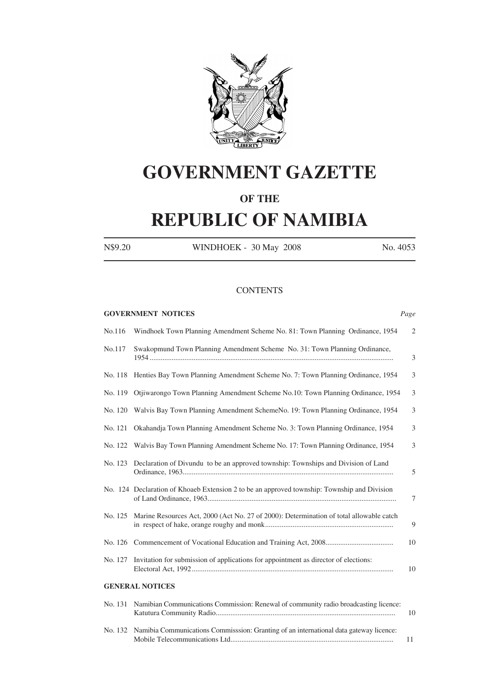

# **GOVERNMENT GAZETTE**

## **OF THE**

# **REPUBLIC OF NAMIBIA**

N\$9.20 WINDHOEK - 30 May 2008 No. 4053

#### **CONTENTS**

|         | <b>GOVERNMENT NOTICES</b>                                                                   | Page           |
|---------|---------------------------------------------------------------------------------------------|----------------|
| No.116  | Windhoek Town Planning Amendment Scheme No. 81: Town Planning Ordinance, 1954               | $\mathfrak{2}$ |
| No.117  | Swakopmund Town Planning Amendment Scheme No. 31: Town Planning Ordinance,                  | 3              |
| No. 118 | Henties Bay Town Planning Amendment Scheme No. 7: Town Planning Ordinance, 1954             | 3              |
| No. 119 | Otjiwarongo Town Planning Amendment Scheme No.10: Town Planning Ordinance, 1954             | 3              |
| No. 120 | Walvis Bay Town Planning Amendment SchemeNo. 19: Town Planning Ordinance, 1954              | 3              |
| No. 121 | Okahandja Town Planning Amendment Scheme No. 3: Town Planning Ordinance, 1954               | 3              |
| No. 122 | Walvis Bay Town Planning Amendment Scheme No. 17: Town Planning Ordinance, 1954             | 3              |
| No. 123 | Declaration of Divundu to be an approved township: Townships and Division of Land           | 5              |
|         | No. 124 Declaration of Khoaeb Extension 2 to be an approved township: Township and Division | 7              |
| No. 125 | Marine Resources Act, 2000 (Act No. 27 of 2000): Determination of total allowable catch     | 9              |
| No. 126 |                                                                                             | 10             |
| No. 127 | Invitation for submission of applications for appointment as director of elections:         | 10             |
|         | <b>GENERAL NOTICES</b>                                                                      |                |
| No. 131 | Namibian Communications Commission: Renewal of community radio broadcasting licence:        | 10             |
| No. 132 | Namibia Communications Commisssion: Granting of an international data gateway licence:      | 11             |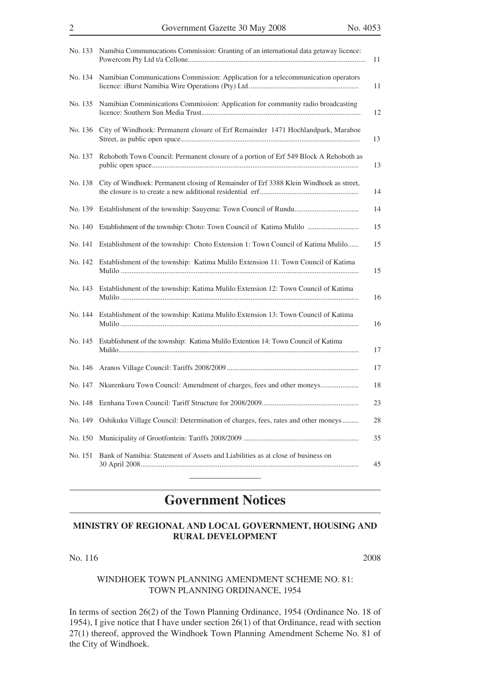|         | No. 133 Namibia Communucations Commission: Granting of an international data getaway licence: | 11 |
|---------|-----------------------------------------------------------------------------------------------|----|
| No. 134 | Namibian Communications Commission: Application for a telecommunication operators             | 11 |
| No. 135 | Namibian Comminications Commission: Application for community radio broadcasting              | 12 |
| No. 136 | City of Windhoek: Permanent closure of Erf Remainder 1471 Hochlandpark, Maraboe               | 13 |
| No. 137 | Rehoboth Town Council: Permanent closure of a portion of Erf 549 Block A Rehoboth as          | 13 |
| No. 138 | City of Windhoek: Permanent closing of Remainder of Erf 3388 Klein Windhoek as street,        | 14 |
| No. 139 |                                                                                               | 14 |
| No. 140 | Establishment of the township: Choto: Town Council of Katima Mulilo                           | 15 |
| No. 141 | Establishment of the township: Choto Extension 1: Town Council of Katima Mulilo               | 15 |
| No. 142 | Establishment of the township: Katima Mulilo Extension 11: Town Council of Katima             | 15 |
| No. 143 | Establishment of the township: Katima Mulilo Extension 12: Town Council of Katima             | 16 |
| No. 144 | Establishment of the township: Katima Mulilo Extension 13: Town Council of Katima             | 16 |
| No. 145 | Establishment of the township: Katima Mulilo Extention 14: Town Council of Katima             | 17 |
| No. 146 |                                                                                               | 17 |
| No. 147 | Nkurenkuru Town Council: Amendment of charges, fees and other moneys                          | 18 |
| No. 148 |                                                                                               | 23 |
| No. 149 | Oshikuku Village Council: Determination of charges, fees, rates and other moneys              | 28 |
| No. 150 |                                                                                               | 35 |
| No. 151 | Bank of Namibia: Statement of Assets and Liabilities as at close of business on               | 45 |

## **Government Notices**

 $\overline{\phantom{a}}$  , where the contract of the contract of the contract of the contract of the contract of the contract of the contract of the contract of the contract of the contract of the contract of the contract of the contr

## **MINISTRY OF REGIONAL AND LOCAL GOVERNMENT, HOUSING AND RURAL DEVELOPMENT**

No.  $116$  2008

#### WINDHOEK TOWN PLANNING AMENDMENT SCHEME NO. 81: TOWN PLANNING ORDINANCE, 1954

In terms of section 26(2) of the Town Planning Ordinance, 1954 (Ordinance No. 18 of 1954), I give notice that I have under section 26(1) of that Ordinance, read with section 27(1) thereof, approved the Windhoek Town Planning Amendment Scheme No. 81 of the City of Windhoek.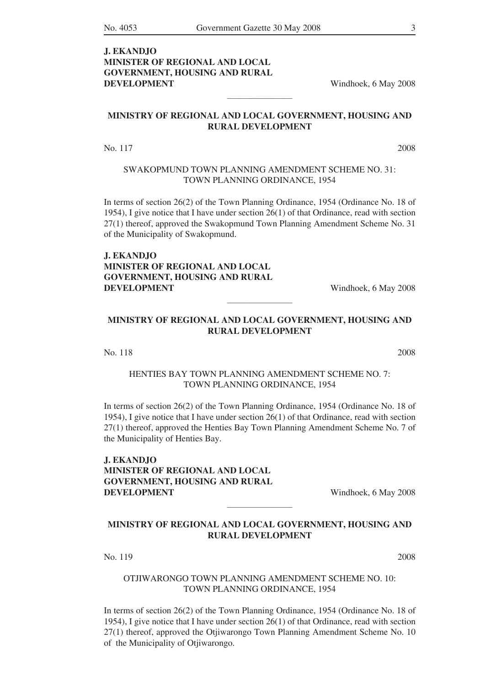## **J. EKANDJO MINISTER OF REGIONAL AND LOCAL GOVERNMENT, HOUSING AND RURAL DEVELOPMENT** Windhoek, 6 May 2008

#### **MINISTRY OF REGIONAL AND LOCAL GOVERNMENT, HOUSING AND RURAL DEVELOPMENT**

 $\mathcal{L}$  , we have the set of the set of the set of the set of the set of the set of the set of the set of the set of the set of the set of the set of the set of the set of the set of the set of the set of the set of the

No. 117 2008

#### SWAKOPMUND TOWN PLANNING AMENDMENT SCHEME NO. 31: TOWN PLANNING ORDINANCE, 1954

In terms of section 26(2) of the Town Planning Ordinance, 1954 (Ordinance No. 18 of 1954), I give notice that I have under section 26(1) of that Ordinance, read with section 27(1) thereof, approved the Swakopmund Town Planning Amendment Scheme No. 31 of the Municipality of Swakopmund.

## **J. EKANDJO MINISTER OF REGIONAL AND LOCAL GOVERNMENT, HOUSING AND RURAL DEVELOPMENT** Windhoek, 6 May 2008

### **MINISTRY OF REGIONAL AND LOCAL GOVERNMENT, HOUSING AND RURAL DEVELOPMENT**

 $\mathcal{L}$  , we have the set of the set of the set of the set of the set of the set of the set of the set of the set of the set of the set of the set of the set of the set of the set of the set of the set of the set of the

No. 118 2008

#### HENTIES BAY TOWN PLANNING AMENDMENT SCHEME NO. 7: TOWN PLANNING ORDINANCE, 1954

In terms of section 26(2) of the Town Planning Ordinance, 1954 (Ordinance No. 18 of 1954), I give notice that I have under section 26(1) of that Ordinance, read with section 27(1) thereof, approved the Henties Bay Town Planning Amendment Scheme No. 7 of the Municipality of Henties Bay.

**J. EKANDJO MINISTER OF REGIONAL AND LOCAL GOVERNMENT, HOUSING AND RURAL DEVELOPMENT** Windhoek, 6 May 2008

#### **MINISTRY OF REGIONAL AND LOCAL GOVERNMENT, HOUSING AND RURAL DEVELOPMENT**

 $\mathcal{L}$  , we have the set of the set of the set of the set of the set of the set of the set of the set of the set of the set of the set of the set of the set of the set of the set of the set of the set of the set of the

No. 119 2008

#### OTJIWARONGO TOWN PLANNING AMENDMENT SCHEME NO. 10: TOWN PLANNING ORDINANCE, 1954

In terms of section 26(2) of the Town Planning Ordinance, 1954 (Ordinance No. 18 of 1954), I give notice that I have under section 26(1) of that Ordinance, read with section 27(1) thereof, approved the Otjiwarongo Town Planning Amendment Scheme No. 10 of the Municipality of Otjiwarongo.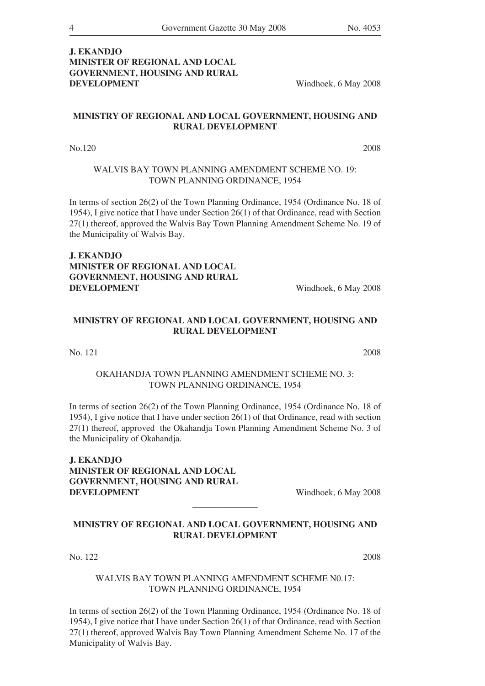## **J. EKANDJO MINISTER OF REGIONAL AND LOCAL GOVERNMENT, HOUSING AND RURAL DEVELOPMENT** Windhoek, 6 May 2008

## **MINISTRY OF REGIONAL AND LOCAL GOVERNMENT, HOUSING AND RURAL DEVELOPMENT**

 $\mathcal{L}$  and  $\mathcal{L}$  and  $\mathcal{L}$ 

No.120 2008

## WALVIS BAY TOWN PLANNING AMENDMENT SCHEME NO. 19: TOWN PLANNING ORDINANCE, 1954

In terms of section 26(2) of the Town Planning Ordinance, 1954 (Ordinance No. 18 of 1954), I give notice that I have under Section 26(1) of that Ordinance, read with Section 27(1) thereof, approved the Walvis Bay Town Planning Amendment Scheme No. 19 of the Municipality of Walvis Bay.

**J. EKANDJO MINISTER OF REGIONAL AND LOCAL GOVERNMENT, HOUSING AND RURAL DEVELOPMENT** Windhoek, 6 May 2008

## **MINISTRY OF REGIONAL AND LOCAL GOVERNMENT, HOUSING AND RURAL DEVELOPMENT**

 $\mathcal{L}$  and  $\mathcal{L}$  and  $\mathcal{L}$ 

No. 121 2008

## OKAHANDJA TOWN PLANNING AMENDMENT SCHEME NO. 3: TOWN PLANNING ORDINANCE, 1954

In terms of section 26(2) of the Town Planning Ordinance, 1954 (Ordinance No. 18 of 1954), I give notice that I have under section 26(1) of that Ordinance, read with section 27(1) thereof, approved the Okahandja Town Planning Amendment Scheme No. 3 of the Municipality of Okahandja.

**J. EKANDJO MINISTER OF REGIONAL AND LOCAL GOVERNMENT, HOUSING AND RURAL DEVELOPMENT** Windhoek, 6 May 2008

## **MINISTRY OF REGIONAL AND LOCAL GOVERNMENT, HOUSING AND RURAL DEVELOPMENT**

 $\mathcal{L}$  and  $\mathcal{L}$  and  $\mathcal{L}$ 

No. 122 2008

### WALVIS BAY TOWN PLANNING AMENDMENT SCHEME N0.17: TOWN PLANNING ORDINANCE, 1954

In terms of section 26(2) of the Town Planning Ordinance, 1954 (Ordinance No. 18 of 1954), I give notice that I have under Section 26(1) of that Ordinance, read with Section 27(1) thereof, approved Walvis Bay Town Planning Amendment Scheme No. 17 of the Municipality of Walvis Bay.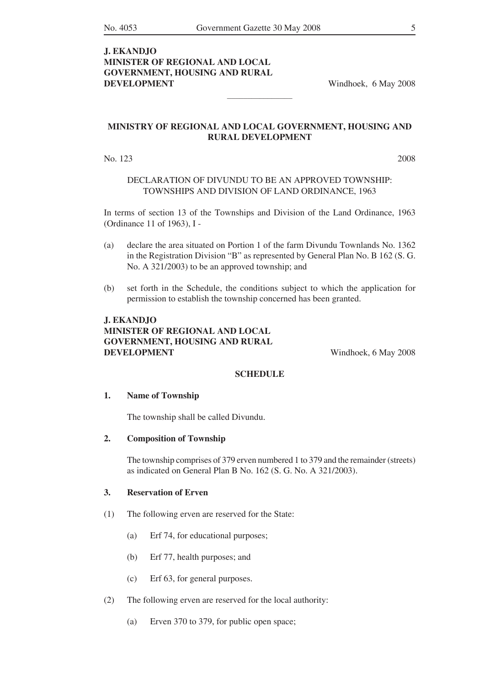## **J. EKANDJO MINISTER OF REGIONAL AND LOCAL GOVERNMENT, HOUSING AND RURAL DEVELOPMENT** Windhoek, 6 May 2008

#### **MINISTRY OF REGIONAL AND LOCAL GOVERNMENT, HOUSING AND RURAL DEVELOPMENT**

 $\mathcal{L}$  , we have the set of the set of the set of the set of the set of the set of the set of the set of the set of the set of the set of the set of the set of the set of the set of the set of the set of the set of the

No. 123 2008

#### DECLARATION OF DIVUNDU TO BE AN APPROVED TOWNSHIP: TOWNSHIPS AND DIVISION OF LAND ORDINANCE, 1963

In terms of section 13 of the Townships and Division of the Land Ordinance, 1963 (Ordinance 11 of 1963), I -

- (a) declare the area situated on Portion 1 of the farm Divundu Townlands No. 1362 in the Registration Division "B" as represented by General Plan No. B 162 (S. G. No. A 321/2003) to be an approved township; and
- (b) set forth in the Schedule, the conditions subject to which the application for permission to establish the township concerned has been granted.

## **J. EKANDJO MINISTER OF REGIONAL AND LOCAL GOVERNMENT, HOUSING AND RURAL DEVELOPMENT** Windhoek, 6 May 2008

#### **SCHEDULE**

#### **1. Name of Township**

 The township shall be called Divundu.

#### **2. Composition of Township**

 The township comprises of 379 erven numbered 1 to 379 and the remainder (streets) as indicated on General Plan B No. 162 (S. G. No. A 321/2003).

#### **3. Reservation of Erven**

- (1) The following erven are reserved for the State:
	- (a) Erf 74, for educational purposes;
	- (b) Erf 77, health purposes; and
	- (c) Erf 63, for general purposes.
- (2) The following erven are reserved for the local authority:
	- (a) Erven 370 to 379, for public open space;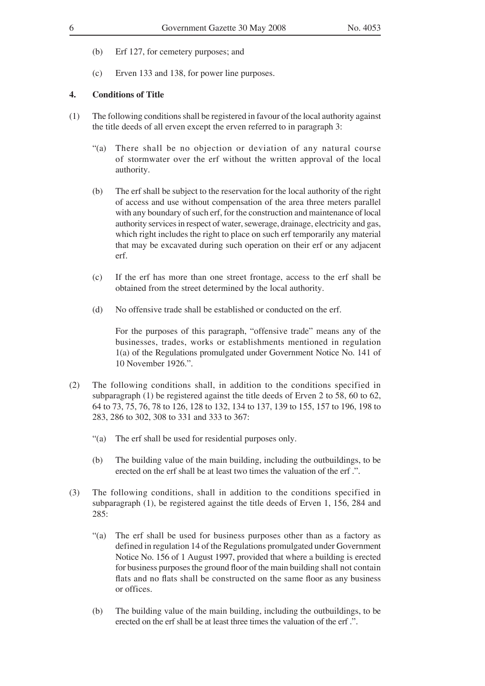- (b) Erf 127, for cemetery purposes; and
- (c) Erven 133 and 138, for power line purposes.

#### **4. Conditions of Title**

- $(1)$  The following conditions shall be registered in favour of the local authority against the title deeds of all erven except the erven referred to in paragraph 3:
	- "(a) There shall be no objection or deviation of any natural course of stormwater over the erf without the written approval of the local authority.
	- (b) The erf shall be subject to the reservation for the local authority of the right of access and use without compensation of the area three meters parallel with any boundary of such erf, for the construction and maintenance of local authority services in respect of water, sewerage, drainage, electricity and gas, which right includes the right to place on such erf temporarily any material that may be excavated during such operation on their erf or any adjacent erf.
	- (c) If the erf has more than one street frontage, access to the erf shall be obtained from the street determined by the local authority.
	- (d) No offensive trade shall be established or conducted on the erf.

 For the purposes of this paragraph, "offensive trade" means any of the businesses, trades, works or establishments mentioned in regulation 1(a) of the Regulations promulgated under Government Notice No. 141 of 10 November 1926.".

- (2) The following conditions shall, in addition to the conditions specified in subparagraph (1) be registered against the title deeds of Erven 2 to 58, 60 to 62, 64 to 73, 75, 76, 78 to 126, 128 to 132, 134 to 137, 139 to 155, 157 to 196, 198 to 283, 286 to 302, 308 to 331 and 333 to 367:
	- "(a) The erf shall be used for residential purposes only.
	- (b) The building value of the main building, including the outbuildings, to be erected on the erf shall be at least two times the valuation of the erf .".
- (3) The following conditions, shall in addition to the conditions specified in subparagraph (1), be registered against the title deeds of Erven 1, 156, 284 and 285:
	- "(a) The erf shall be used for business purposes other than as a factory as defined in regulation 14 of the Regulations promulgated under Government Notice No. 156 of 1 August 1997, provided that where a building is erected for business purposes the ground floor of the main building shall not contain flats and no flats shall be constructed on the same floor as any business or offices.
	- (b) The building value of the main building, including the outbuildings, to be erected on the erf shall be at least three times the valuation of the erf .".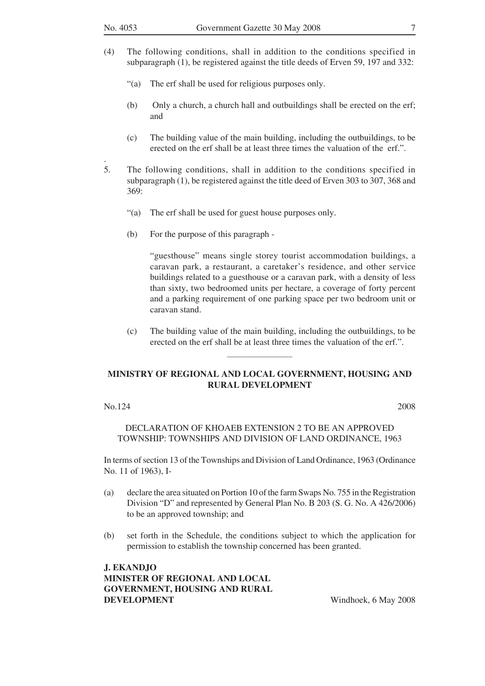.

- (4) The following conditions, shall in addition to the conditions specified in subparagraph (1), be registered against the title deeds of Erven 59, 197 and 332:
	- "(a) The erf shall be used for religious purposes only.
	- (b) Only a church, a church hall and outbuildings shall be erected on the erf; and
	- (c) The building value of the main building, including the outbuildings, to be erected on the erf shall be at least three times the valuation of the erf.".
- 5. The following conditions, shall in addition to the conditions specified in subparagraph (1), be registered against the title deed of Erven 303 to 307, 368 and 369:
	- "(a) The erf shall be used for guest house purposes only.
	- (b) For the purpose of this paragraph -

 "guesthouse" means single storey tourist accommodation buildings, a caravan park, a restaurant, a caretaker's residence, and other service buildings related to a guesthouse or a caravan park, with a density of less than sixty, two bedroomed units per hectare, a coverage of forty percent and a parking requirement of one parking space per two bedroom unit or caravan stand.

 (c) The building value of the main building, including the outbuildings, to be erected on the erf shall be at least three times the valuation of the erf.".

#### **MINISTRY OF REGIONAL AND LOCAL GOVERNMENT, HOUSING AND RURAL DEVELOPMENT**

 $\mathcal{L}$  , we have the set of the set of the set of the set of the set of the set of the set of the set of the set of the set of the set of the set of the set of the set of the set of the set of the set of the set of the

#### $\text{No.124}$  2008

#### DECLARATION OF KHOAEB EXTENSION 2 TO BE AN APPROVED TOWNSHIP: TOWNSHIPS AND DIVISION OF LAND ORDINANCE, 1963

In terms of section 13 of the Townships and Division of Land Ordinance, 1963 (Ordinance No. 11 of 1963), I-

- (a) declare the area situated on Portion 10 of the farm Swaps No. 755 in the Registration Division "D" and represented by General Plan No. B 203 (S. G. No. A 426/2006) to be an approved township; and
- (b) set forth in the Schedule, the conditions subject to which the application for permission to establish the township concerned has been granted.

**J. EKANDJO MINISTER OF REGIONAL AND LOCAL GOVERNMENT, HOUSING AND RURAL DEVELOPMENT** Windhoek, 6 May 2008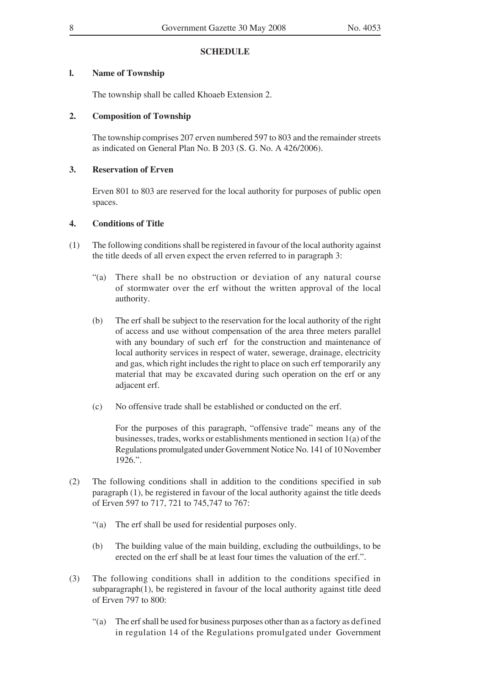#### **SCHEDULE**

#### **l. Name of Township**

 The township shall be called Khoaeb Extension 2.

#### **2. Composition of Township**

The township comprises 207 erven numbered 597 to 803 and the remainder streets as indicated on General Plan No. B 203 (S. G. No. A 426/2006).

### **3. Reservation of Erven**

 Erven 801 to 803 are reserved for the local authority for purposes of public open spaces.

#### **4. Conditions of Title**

- (1) The following conditionsshall be registered in favour of the local authority against the title deeds of all erven expect the erven referred to in paragraph 3:
	- "(a) There shall be no obstruction or deviation of any natural course of stormwater over the erf without the written approval of the local authority.
	- (b) The erf shall be subject to the reservation for the local authority of the right of access and use without compensation of the area three meters parallel with any boundary of such erf for the construction and maintenance of local authority services in respect of water, sewerage, drainage, electricity and gas, which right includes the right to place on such erf temporarily any material that may be excavated during such operation on the erf or any adjacent erf.
	- (c) No offensive trade shall be established or conducted on the erf.

 For the purposes of this paragraph, "offensive trade" means any of the businesses, trades, works or establishments mentioned in section 1(a) of the Regulations promulgated under Government Notice No. 141 of 10 November 1926.".

- (2) The following conditions shall in addition to the conditions specified in sub paragraph (1), be registered in favour of the local authority against the title deeds of Erven 597 to 717, 721 to 745,747 to 767:
	- "(a) The erf shall be used for residential purposes only.
	- (b) The building value of the main building, excluding the outbuildings, to be erected on the erf shall be at least four times the valuation of the erf.".
- (3) The following conditions shall in addition to the conditions specified in subparagraph(1), be registered in favour of the local authority against title deed of Erven 797 to 800:
	- "(a) The erfshall be used for business purposes other than as a factory as defined in regulation 14 of the Regulations promulgated under Government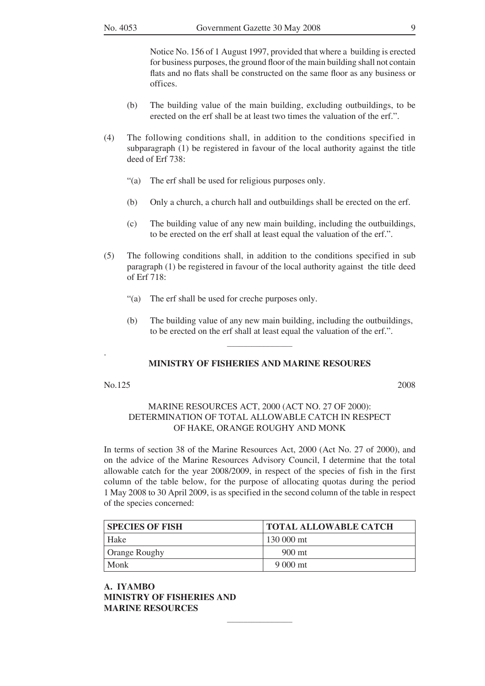Notice No. 156 of 1 August 1997, provided that where a building is erected for business purposes, the ground floor of the main building shall not contain flats and no flats shall be constructed on the same floor as any business or offices.

- (b) The building value of the main building, excluding outbuildings, to be erected on the erf shall be at least two times the valuation of the erf.".
- (4) The following conditions shall, in addition to the conditions specified in subparagraph (1) be registered in favour of the local authority against the title deed of Erf 738:
	- "(a) The erf shall be used for religious purposes only.
	- (b) Only a church, a church hall and outbuildings shall be erected on the erf.
	- (c) The building value of any new main building, including the outbuildings, to be erected on the erf shall at least equal the valuation of the erf.".
- (5) The following conditions shall, in addition to the conditions specified in sub  $\beta$  paragraph (1) be registered in favour of the local authority against the title deed of Erf 718:
	- "(a) The erf shall be used for creche purposes only.
	- (b) The building value of any new main building, including the outbuildings, to be erected on the erf shall at least equal the valuation of the erf.".

#### **MINISTRY OF FISHERIES AND MARINE RESOURES**

 $\mathcal{L}$  , we have the set of the set of the set of the set of the set of the set of the set of the set of the set of the set of the set of the set of the set of the set of the set of the set of the set of the set of the

 $\text{No.125}$  2008

.

## MARINE RESOURCES ACT, 2000 (ACT NO. 27 OF 2000): DETERMINATION OF TOTAL ALLOWABLE CATCH IN RESPECT OF HAKE, ORANGE ROUGHY AND MONK

In terms of section 38 of the Marine Resources Act, 2000 (Act No. 27 of 2000), and on the advice of the Marine Resources Advisory Council, I determine that the total allowable catch for the year 2008/2009, in respect of the species of fish in the first column of the table below, for the purpose of allocating quotas during the period 1 May 2008 to 30 April 2009, is as specified in the second column of the table in respect of the species concerned:

| <b>SPECIES OF FISH</b> | TOTAL ALLOWABLE CATCH |
|------------------------|-----------------------|
| Hake                   | $+130\ 000$ mt        |
| <b>Orange Roughy</b>   | 900 mt                |
| Monk                   | 9 000 mt              |

 $\mathcal{L}$  , we have the set of the set of the set of the set of the set of the set of the set of the set of the set of the set of the set of the set of the set of the set of the set of the set of the set of the set of the

**A. Iyambo Ministry of Fisheries AND MARINE RESOURCES**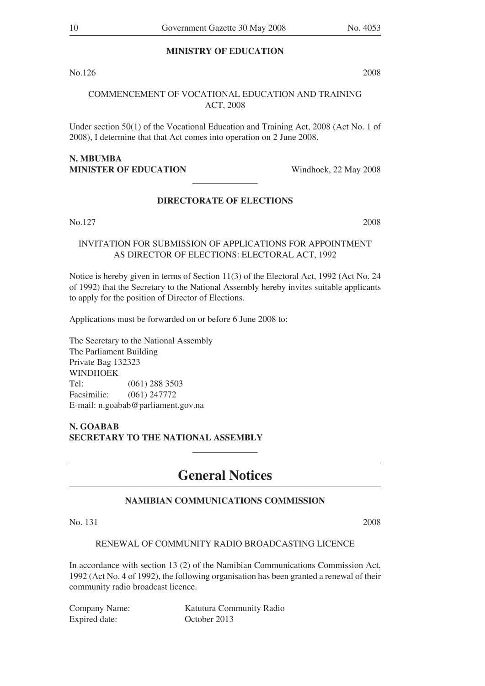## **MINISTRY OF EDUCATION**

 $\rm{No.126}$  2008

## COMMENCEMENT OF VOCATIONAL EDUCATION AND TRAINING ACT, 2008

Under section 50(1) of the Vocational Education and Training Act, 2008 (Act No. 1 of 2008), I determine that that Act comes into operation on 2 June 2008.

## N. MBUMBA **MINISTER OF EDUCATION** Windhoek, 22 May 2008

## **DIRECTORATE OF ELECTIONS**

 $\mathcal{L}$  and  $\mathcal{L}$  and  $\mathcal{L}$ 

 $\rm{No.127}$  2008

## INVITATION FOR SUBMISSION OF APPLICATIONS FOR APPOINTMENT AS DIRECTOR OF ELECTIONS: ELECTORAL ACT, 1992

Notice is hereby given in terms of Section 11(3) of the Electoral Act, 1992 (Act No. 24 of 1992) that the Secretary to the National Assembly hereby invites suitable applicants to apply for the position of Director of Elections.

Applications must be forwarded on or before 6 June 2008 to:

The Secretary to the National Assembly The Parliament Building Private Bag 132323 WINDHOEK Tel: (061) 288 3503 Facsimilie: (061) 247772 E-mail: n.goabab@parliament.gov.na

**N. GOABAB SECRETARY TO THE NATIONAL ASSEMBLY**

## **General Notices**

 $\frac{1}{2}$ 

## **NAMIBIAN COMMUNICATIONS COMMISSION**

No. 131 2008

## RENEWAL OF COMMUNITY RADIO BROADCASTING LICENCE

In accordance with section 13 (2) of the Namibian Communications Commission Act, 1992 (Act No. 4 of 1992), the following organisation has been granted a renewal of their community radio broadcast licence.

Expired date: October 2013

Company Name: Katutura Community Radio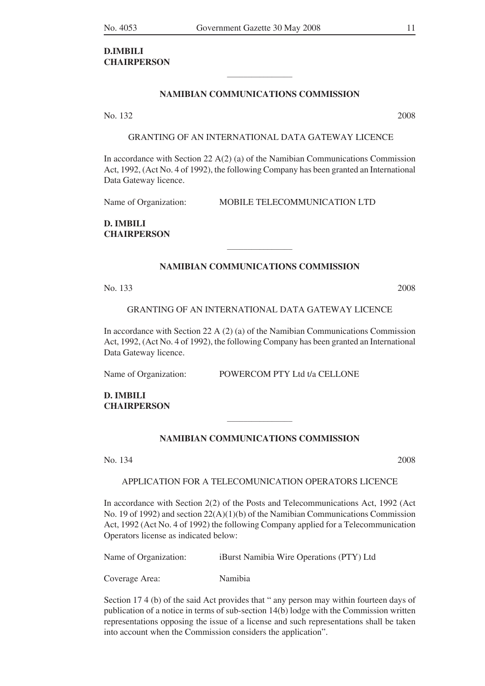## **D.IMBILI CHAIRPERSON**

## **NAMIBIAN COMMUNICATIONS COMMISSION**

 $\mathcal{L}$  , we have the set of the set of the set of the set of the set of the set of the set of the set of the set of the set of the set of the set of the set of the set of the set of the set of the set of the set of the

No. 132 2008

GRANTING OF AN INTERNATIONAL DATA GATEWAY LICENCE

In accordance with Section 22  $A(2)$  (a) of the Namibian Communications Commission Act, 1992, (Act No. 4 of 1992), the following Company has been granted an International Data Gateway licence.

Name of Organization: MOBILE TELECOMMUNICATION LTD

**D. IMBILI CHAIRPERSON**

## **NAMIBIAN COMMUNICATIONS COMMISSION**

 $\mathcal{L}$  , we have the set of the set of the set of the set of the set of the set of the set of the set of the set of the set of the set of the set of the set of the set of the set of the set of the set of the set of the

No. 133 2008

GRANTING OF AN INTERNATIONAL DATA GATEWAY LICENCE

In accordance with Section 22 A (2) (a) of the Namibian Communications Commission Act, 1992, (Act No. 4 of 1992), the following Company has been granted an International Data Gateway licence.

Name of Organization: POWERCOM PTY Ltd t/a CELLONE

**D. IMBILI CHAIRPERSON**

### **NAMIBIAN COMMUNICATIONS COMMISSION**

 $\mathcal{L}$  , we have the set of the set of the set of the set of the set of the set of the set of the set of the set of the set of the set of the set of the set of the set of the set of the set of the set of the set of the

No. 134 2008

#### APPLICATION FOR A TELECOMUNICATION OPERATORS LICENCE

In accordance with Section 2(2) of the Posts and Telecommunications Act, 1992 (Act No. 19 of 1992) and section  $22(A)(1)(b)$  of the Namibian Communications Commission Act, 1992 (Act No. 4 of 1992) the following Company applied for a Telecommunication Operators license as indicated below:

Name of Organization: iBurst Namibia Wire Operations (PTY) Ltd

Coverage Area: Namibia

Section 17 4 (b) of the said Act provides that " any person may within fourteen days of publication of a notice in terms of sub-section 14(b) lodge with the Commission written representations opposing the issue of a license and such representations shall be taken into account when the Commission considers the application".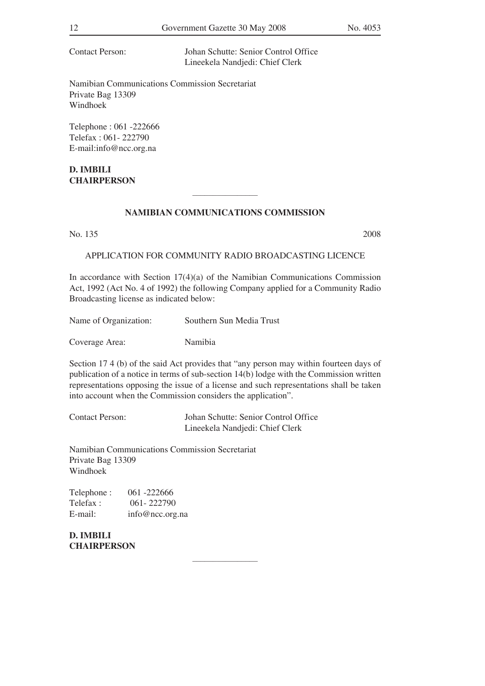Contact Person: Johan Schutte: Senior Control Office Lineekela Nandjedi: Chief Clerk

Namibian Communications Commission Secretariat Private Bag 13309 Windhoek

Telephone : 061 -222666 Telefax : 061- 222790 E-mail:info@ncc.org.na

**D. IMBILI CHAIRPERSON**

## **NAMIBIAN COMMUNICATIONS COMMISSION**

 $\mathcal{L}$  and  $\mathcal{L}$  and  $\mathcal{L}$ 

No. 135 2008

#### APPLICATION FOR COMMUNITY RADIO BROADCASTING LICENCE

In accordance with Section 17(4)(a) of the Namibian Communications Commission Act, 1992 (Act No. 4 of 1992) the following Company applied for a Community Radio Broadcasting license as indicated below:

Name of Organization: Southern Sun Media Trust

Coverage Area: Namibia

Section 17 4 (b) of the said Act provides that "any person may within fourteen days of publication of a notice in terms of sub-section 14(b) lodge with the Commission written representations opposing the issue of a license and such representations shall be taken into account when the Commission considers the application".

 $\mathcal{L}$  and  $\mathcal{L}$  and  $\mathcal{L}$  and  $\mathcal{L}$ 

Contact Person: Johan Schutte: Senior Control Office Lineekela Nandjedi: Chief Clerk

Namibian Communications Commission Secretariat Private Bag 13309 Windhoek

| Telephone: | 061 -222666     |
|------------|-----------------|
| Telefax :  | 061 - 222790    |
| E-mail:    | info@ncc.org.na |

**D. IMBILI CHAIRPERSON**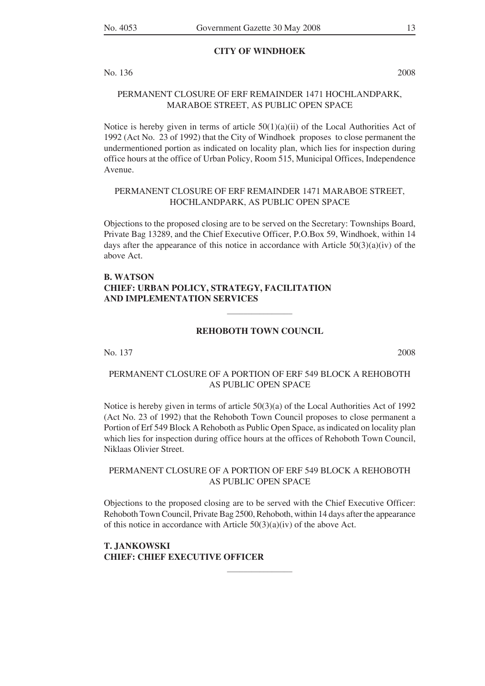#### **CITY OF WINDHOEK**

No. 136 2008

## PERMANENT CLOSURE OF ERF REMAINDER 1471 HOCHLANDPARK, MARABOE STREET, AS PUBLIC OPEN SPACE

Notice is hereby given in terms of article  $50(1)(a)(ii)$  of the Local Authorities Act of 1992 (Act No. 23 of 1992) that the City of Windhoek proposes to close permanent the undermentioned portion as indicated on locality plan, which lies for inspection during office hours at the office of Urban Policy, Room 515, Municipal Offices, Independence Avenue.

#### PERMANENT CLOSURE OF ERF REMAINDER 1471 MARABOE STREET, HOCHLANDPARK, AS PUBLIC OPEN SPACE

Objections to the proposed closing are to be served on the Secretary: Townships Board, Private Bag 13289, and the Chief Executive Officer, P.O.Box 59, Windhoek, within 14 days after the appearance of this notice in accordance with Article  $50(3)(a)(iv)$  of the above Act.

## **B. WATSON CHIEF: URBAN POLICY, STRATEGY, FACILITATION AND IMPLEMENTATION SERVICES**

#### **REHOBOTH TOWN COUNCIL**

 $\mathcal{L}$  , we have the set of the set of the set of the set of the set of the set of the set of the set of the set of the set of the set of the set of the set of the set of the set of the set of the set of the set of the

No. 137 2008

## PERMANENT CLOSURE OF A PORTION OF ERF 549 BLOCK A REHOBOTH AS PUBLIC OPEN SPACE

Notice is hereby given in terms of article 50(3)(a) of the Local Authorities Act of 1992 (Act No. 23 of 1992) that the Rehoboth Town Council proposes to close permanent a Portion of Erf 549 Block A Rehoboth as Public Open Space, as indicated on locality plan which lies for inspection during office hours at the offices of Rehoboth Town Council, Niklaas Olivier Street.

#### PERMANENT CLOSURE OF A PORTION OF ERF 549 BLOCK A REHOBOTH AS PUBLIC OPEN SPACE

Objections to the proposed closing are to be served with the Chief Executive Officer: Rehoboth Town Council, Private Bag 2500, Rehoboth, within 14 days after the appearance of this notice in accordance with Article  $50(3)(a)(iv)$  of the above Act.

 $\mathcal{L}$  , we have the set of the set of the set of the set of the set of the set of the set of the set of the set of the set of the set of the set of the set of the set of the set of the set of the set of the set of the

#### **T. JANKOWSKI CHIEF: CHIEF EXECUTIVE OFFICER**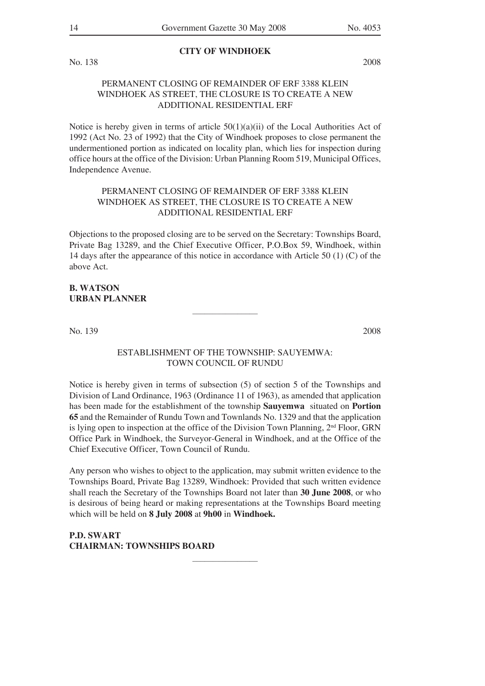**CITY OF WINDHOEK**

No. 138 2008

## PERMANENT CLOSING OF REMAINDER OF ERF 3388 KLEIN WINDHOEK AS STREET, THE CLOSURE IS TO CREATE A NEW ADDITIONAL RESIDENTIAL ERF

Notice is hereby given in terms of article  $50(1)(a)(ii)$  of the Local Authorities Act of 1992 (Act No. 23 of 1992) that the City of Windhoek proposes to close permanent the undermentioned portion as indicated on locality plan, which lies for inspection during office hours at the office of the Division: Urban Planning Room 519, Municipal Offices, Independence Avenue.

## PERMANENT CLOSING OF REMAINDER OF ERF 3388 KLEIN WINDHOEK AS STREET, THE CLOSURE IS TO CREATE A NEW ADDITIONAL RESIDENTIAL ERF

Objections to the proposed closing are to be served on the Secretary: Townships Board, Private Bag 13289, and the Chief Executive Officer, P.O.Box 59, Windhoek, within 14 days after the appearance of this notice in accordance with Article 50 (1) (C) of the above Act.

## **B. WATSON URBAN PLANNER**

No. 139 2008

## ESTABLISHMENT OF THE TOWNSHIP: SAUYEMWA: TOWN COUNCIL OF RUNDU

 $\mathcal{L}$  , we have the set of the set of the set of the set of the set of the set of the set of the set of the set of the set of the set of the set of the set of the set of the set of the set of the set of the set of the

Notice is hereby given in terms of subsection (5) of section 5 of the Townships and Division of Land Ordinance, 1963 (Ordinance 11 of 1963), as amended that application has been made for the establishment of the township **Sauyemwa** situated on **Portion 65** and the Remainder of Rundu Town and Townlands No. 1329 and that the application is lying open to inspection at the office of the Division Town Planning,  $2<sup>nd</sup>$  Floor, GRN Office Park in Windhoek, the Surveyor-General in Windhoek, and at the Office of the Chief Executive Officer, Town Council of Rundu.

Any person who wishes to object to the application, may submit written evidence to the Townships Board, Private Bag 13289, Windhoek: Provided that such written evidence shall reach the Secretary of the Townships Board not later than **30 June 2008**, or who is desirous of being heard or making representations at the Townships Board meeting which will be held on **8 July 2008** at **9h00** in **Windhoek.**

 $\mathcal{L}$  , we have the set of the set of the set of the set of the set of the set of the set of the set of the set of the set of the set of the set of the set of the set of the set of the set of the set of the set of the

**P.D. SWART CHAIRMAN: TOWNSHIPS BOARD**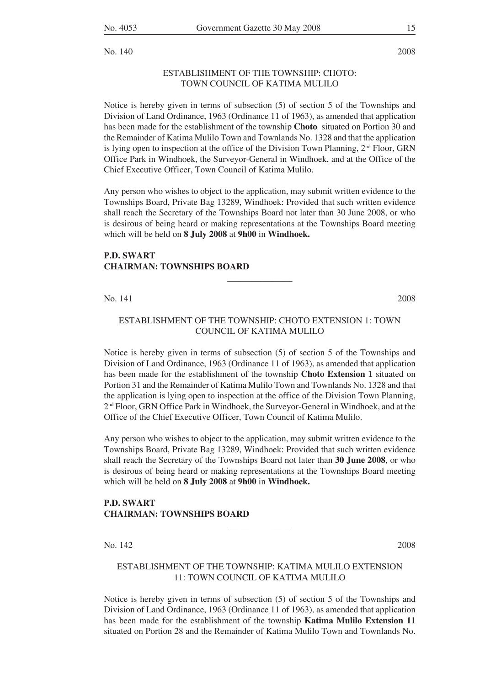No. 140 2008

#### ESTABLISHMENT OF THE TOWNSHIP: CHOTO: TOWN COUNCIL OF KATIMA MULILO

Notice is hereby given in terms of subsection (5) of section 5 of the Townships and Division of Land Ordinance, 1963 (Ordinance 11 of 1963), as amended that application has been made for the establishment of the township **Choto** situated on Portion 30 and the Remainder of Katima Mulilo Town and Townlands No. 1328 and that the application is lying open to inspection at the office of the Division Town Planning,  $2<sup>nd</sup>$  Floor, GRN Office Park in Windhoek, the Surveyor-General in Windhoek, and at the Office of the Chief Executive Officer, Town Council of Katima Mulilo.

Any person who wishes to object to the application, may submit written evidence to the Townships Board, Private Bag 13289, Windhoek: Provided that such written evidence shall reach the Secretary of the Townships Board not later than 30 June 2008, or who is desirous of being heard or making representations at the Townships Board meeting which will be held on **8 July 2008** at **9h00** in **Windhoek.**

#### **P.D. SWART CHAIRMAN: TOWNSHIPS BOARD**

No. 141 2008

## ESTABLISHMENT OF THE TOWNSHIP: CHOTO EXTENSION 1: TOWN COUNCIL OF KATIMA MULILO

 $\mathcal{L}$  , we have the set of the set of the set of the set of the set of the set of the set of the set of the set of the set of the set of the set of the set of the set of the set of the set of the set of the set of the

Notice is hereby given in terms of subsection (5) of section 5 of the Townships and Division of Land Ordinance, 1963 (Ordinance 11 of 1963), as amended that application has been made for the establishment of the township **Choto Extension 1** situated on Portion 31 and the Remainder of Katima Mulilo Town and Townlands No. 1328 and that the application is lying open to inspection at the office of the Division Town Planning, 2nd Floor, GRN Office Park in Windhoek, the Surveyor-General in Windhoek, and at the Office of the Chief Executive Officer, Town Council of Katima Mulilo.

Any person who wishes to object to the application, may submit written evidence to the Townships Board, Private Bag 13289, Windhoek: Provided that such written evidence shall reach the Secretary of the Townships Board not later than **30 June 2008**, or who is desirous of being heard or making representations at the Townships Board meeting which will be held on **8 July 2008** at **9h00** in **Windhoek.**

## **P.D. SWART CHAIRMAN: TOWNSHIPS BOARD**

No. 142 2008

#### ESTABLISHMENT OF THE TOWNSHIP: KATIMA MULILO EXTENSION 11: TOWN COUNCIL OF KATIMA MULILO

 $\frac{1}{2}$ 

Notice is hereby given in terms of subsection (5) of section 5 of the Townships and Division of Land Ordinance, 1963 (Ordinance 11 of 1963), as amended that application has been made for the establishment of the township **Katima Mulilo Extension 11**  situated on Portion 28 and the Remainder of Katima Mulilo Town and Townlands No.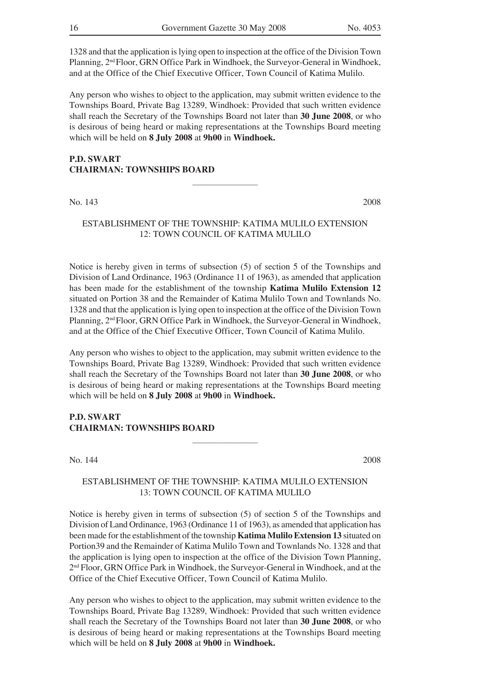1328 and that the application islying open to inspection at the office of the Division Town Planning, 2<sup>nd</sup> Floor, GRN Office Park in Windhoek, the Surveyor-General in Windhoek, and at the Office of the Chief Executive Officer, Town Council of Katima Mulilo.

Any person who wishes to object to the application, may submit written evidence to the Townships Board, Private Bag 13289, Windhoek: Provided that such written evidence shall reach the Secretary of the Townships Board not later than **30 June 2008**, or who is desirous of being heard or making representations at the Townships Board meeting which will be held on **8 July 2008** at **9h00** in **Windhoek.**

## **P.D. SWART CHAIRMAN: TOWNSHIPS BOARD**

No. 143 2008

#### ESTABLISHMENT OF THE TOWNSHIP: KATIMA MULILO EXTENSION 12: TOWN COUNCIL OF KATIMA MULILO

 $\mathcal{L}$  , we have the set of the set of the set of the set of the set of the set of the set of the set of the set of the set of the set of the set of the set of the set of the set of the set of the set of the set of the

Notice is hereby given in terms of subsection (5) of section 5 of the Townships and Division of Land Ordinance, 1963 (Ordinance 11 of 1963), as amended that application has been made for the establishment of the township **Katima Mulilo Extension 12** situated on Portion 38 and the Remainder of Katima Mulilo Town and Townlands No. 1328 and that the application islying open to inspection at the office of the Division Town Planning, 2<sup>nd</sup> Floor, GRN Office Park in Windhoek, the Surveyor-General in Windhoek, and at the Office of the Chief Executive Officer, Town Council of Katima Mulilo.

Any person who wishes to object to the application, may submit written evidence to the Townships Board, Private Bag 13289, Windhoek: Provided that such written evidence shall reach the Secretary of the Townships Board not later than **30 June 2008**, or who is desirous of being heard or making representations at the Townships Board meeting which will be held on **8 July 2008** at **9h00** in **Windhoek.**

## **P.D. SWART CHAIRMAN: TOWNSHIPS BOARD**

No. 144 2008

## ESTABLISHMENT OF THE TOWNSHIP: KATIMA MULILO EXTENSION 13: TOWN COUNCIL OF KATIMA MULILO

 $\mathcal{L}$  , we have the set of the set of the set of the set of the set of the set of the set of the set of the set of the set of the set of the set of the set of the set of the set of the set of the set of the set of the

Notice is hereby given in terms of subsection (5) of section 5 of the Townships and Division of Land Ordinance, 1963 (Ordinance 11 of 1963), as amended that application has been made for the establishment of the township **Katima Mulilo Extension 13** situated on Portion39 and the Remainder of Katima Mulilo Town and Townlands No. 1328 and that the application is lying open to inspection at the office of the Division Town Planning, 2nd Floor, GRN Office Park in Windhoek, the Surveyor-General in Windhoek, and at the Office of the Chief Executive Officer, Town Council of Katima Mulilo.

Any person who wishes to object to the application, may submit written evidence to the Townships Board, Private Bag 13289, Windhoek: Provided that such written evidence shall reach the Secretary of the Townships Board not later than **30 June 2008**, or who is desirous of being heard or making representations at the Townships Board meeting which will be held on **8 July 2008** at **9h00** in **Windhoek.**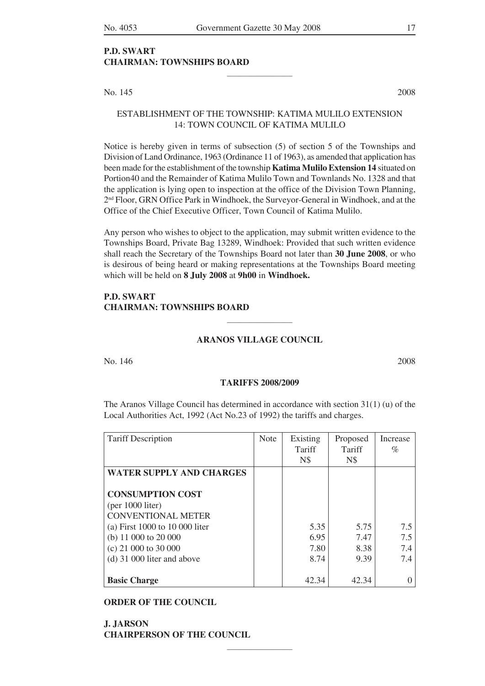$\mathcal{L}$  , we have the set of the set of the set of the set of the set of the set of the set of the set of the set of the set of the set of the set of the set of the set of the set of the set of the set of the set of the

## **P.D. SWART CHAIRMAN: TOWNSHIPS BOARD**

No. 145 2008

## ESTABLISHMENT OF THE TOWNSHIP: KATIMA MULILO EXTENSION 14: TOWN COUNCIL OF KATIMA MULILO

Notice is hereby given in terms of subsection (5) of section 5 of the Townships and Division of Land Ordinance, 1963 (Ordinance 11 of 1963), as amended that application has been made for the establishment of the township **Katima Mulilo Extension 14** situated on Portion40 and the Remainder of Katima Mulilo Town and Townlands No. 1328 and that the application is lying open to inspection at the office of the Division Town Planning, 2nd Floor, GRN Office Park in Windhoek, the Surveyor-General in Windhoek, and at the Office of the Chief Executive Officer, Town Council of Katima Mulilo.

Any person who wishes to object to the application, may submit written evidence to the Townships Board, Private Bag 13289, Windhoek: Provided that such written evidence shall reach the Secretary of the Townships Board not later than **30 June 2008**, or who is desirous of being heard or making representations at the Townships Board meeting which will be held on **8 July 2008** at **9h00** in **Windhoek.**

#### **P.D. SWART CHAIRMAN: TOWNSHIPS BOARD**

#### **ARANOS VILLAGE COUNCIL**

 $\mathcal{L}$  , we have the set of the set of the set of the set of the set of the set of the set of the set of the set of the set of the set of the set of the set of the set of the set of the set of the set of the set of the

no. 146 2008

#### **TARIFFS 2008/2009**

The Aranos Village Council has determined in accordance with section 31(1) (u) of the Local Authorities Act, 1992 (Act No.23 of 1992) the tariffs and charges.

| <b>Tariff Description</b>         | <b>Note</b> | Existing   | Proposed | Increase |
|-----------------------------------|-------------|------------|----------|----------|
|                                   |             | Tariff     | Tariff   | $\%$     |
|                                   |             | <b>N\$</b> | N\$      |          |
| <b>WATER SUPPLY AND CHARGES</b>   |             |            |          |          |
|                                   |             |            |          |          |
| <b>CONSUMPTION COST</b>           |             |            |          |          |
| ${\rm (per\ 1000\, liter)}$       |             |            |          |          |
| <b>CONVENTIONAL METER</b>         |             |            |          |          |
| (a) First $1000$ to $10000$ liter |             | 5.35       | 5.75     | 7.5      |
| (b) $11\,000$ to $20\,000$        |             | 6.95       | 7.47     | 7.5      |
| $(c)$ 21 000 to 30 000            |             | 7.80       | 8.38     | 7.4      |
| $(d)$ 31 000 liter and above      |             | 8.74       | 9.39     | 7.4      |
|                                   |             |            |          |          |
| <b>Basic Charge</b>               |             | 42.34      | 42.34    |          |

 $\frac{1}{2}$ 

#### **ORDER OF THE COUNCIL**

**J. JARSON CHAIRPERSON OF THE COUNCIL**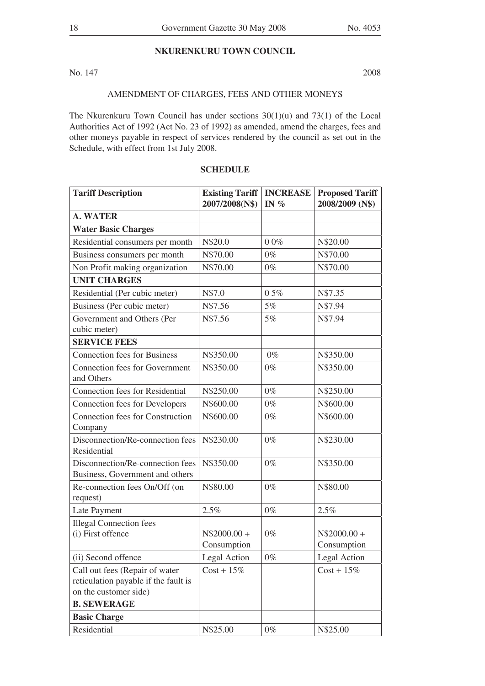## **NKURENKURU TOWN COUNCIL**

No. 147 2008

## AMENDMENT OF CHARGES, FEES AND OTHER MONEYS

The Nkurenkuru Town Council has under sections 30(1)(u) and 73(1) of the Local Authorities Act of 1992 (Act No. 23 of 1992) as amended, amend the charges, fees and other moneys payable in respect of services rendered by the council as set out in the Schedule, with effect from 1st July 2008.

| <b>Tariff Description</b>                                                                       | <b>Existing Tariff</b><br>2007/2008(N\$) | <b>INCREASE</b><br>IN $\%$ | <b>Proposed Tariff</b><br>2008/2009 (N\$) |
|-------------------------------------------------------------------------------------------------|------------------------------------------|----------------------------|-------------------------------------------|
| <b>A. WATER</b>                                                                                 |                                          |                            |                                           |
| <b>Water Basic Charges</b>                                                                      |                                          |                            |                                           |
| Residential consumers per month                                                                 | N\$20.0                                  | 00%                        | N\$20.00                                  |
| Business consumers per month                                                                    | N\$70.00                                 | $0\%$                      | N\$70.00                                  |
| Non Profit making organization                                                                  | N\$70.00                                 | $0\%$                      | N\$70.00                                  |
| <b>UNIT CHARGES</b>                                                                             |                                          |                            |                                           |
| Residential (Per cubic meter)                                                                   | N\$7.0                                   | 05%                        | N\$7.35                                   |
| Business (Per cubic meter)                                                                      | N\$7.56                                  | 5%                         | N\$7.94                                   |
| Government and Others (Per<br>cubic meter)                                                      | N\$7.56                                  | 5%                         | N\$7.94                                   |
| <b>SERVICE FEES</b>                                                                             |                                          |                            |                                           |
| <b>Connection fees for Business</b>                                                             | N\$350.00                                | $0\%$                      | N\$350.00                                 |
| Connection fees for Government<br>and Others                                                    | N\$350.00                                | $0\%$                      | N\$350.00                                 |
| <b>Connection fees for Residential</b>                                                          | N\$250.00                                | $0\%$                      | N\$250.00                                 |
| <b>Connection fees for Developers</b>                                                           | N\$600.00                                | $0\%$                      | N\$600.00                                 |
| <b>Connection fees for Construction</b><br>Company                                              | N\$600.00                                | $0\%$                      | N\$600.00                                 |
| Disconnection/Re-connection fees<br>Residential                                                 | N\$230.00                                | $0\%$                      | N\$230.00                                 |
| Disconnection/Re-connection fees<br>Business, Government and others                             | N\$350.00                                | $0\%$                      | N\$350.00                                 |
| Re-connection fees On/Off (on<br>request)                                                       | N\$80.00                                 | $0\%$                      | N\$80.00                                  |
| Late Payment                                                                                    | 2.5%                                     | $0\%$                      | 2.5%                                      |
| <b>Illegal Connection fees</b><br>(i) First offence                                             | $N$2000.00 +$<br>Consumption             | $0\%$                      | $N$2000.00 +$<br>Consumption              |
| (ii) Second offence                                                                             | Legal Action                             | $0\%$                      | Legal Action                              |
| Call out fees (Repair of water<br>reticulation payable if the fault is<br>on the customer side) | $Cost + 15\%$                            |                            | $Cost + 15\%$                             |
| <b>B. SEWERAGE</b>                                                                              |                                          |                            |                                           |
| <b>Basic Charge</b>                                                                             |                                          |                            |                                           |
| Residential                                                                                     | N\$25.00                                 | $0\%$                      | N\$25.00                                  |

## **SCHEDULE**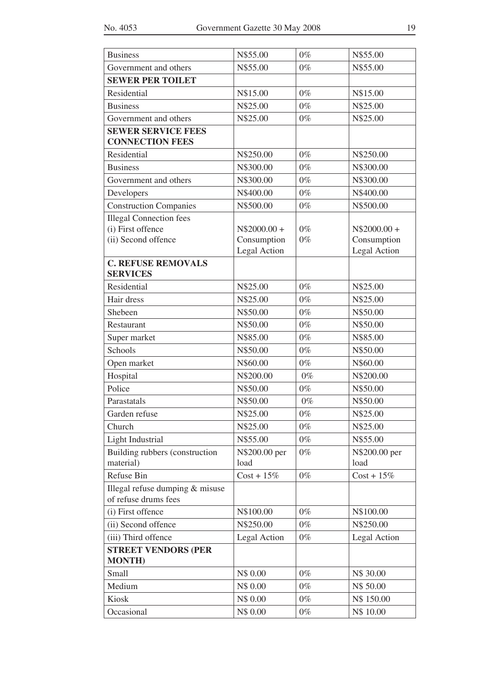| <b>Business</b>                                                            | N\$55.00                                     | $0\%$          | N\$55.00                                     |
|----------------------------------------------------------------------------|----------------------------------------------|----------------|----------------------------------------------|
| Government and others                                                      | N\$55.00                                     | $0\%$          | N\$55.00                                     |
| <b>SEWER PER TOILET</b>                                                    |                                              |                |                                              |
| Residential                                                                | N\$15.00                                     | $0\%$          | N\$15.00                                     |
| <b>Business</b>                                                            | N\$25.00                                     | $0\%$          | N\$25.00                                     |
| Government and others                                                      | N\$25.00                                     | $0\%$          | N\$25.00                                     |
| <b>SEWER SERVICE FEES</b><br><b>CONNECTION FEES</b>                        |                                              |                |                                              |
| Residential                                                                | N\$250.00                                    | $0\%$          | N\$250.00                                    |
| <b>Business</b>                                                            | N\$300.00                                    | $0\%$          | N\$300.00                                    |
| Government and others                                                      | N\$300.00                                    | $0\%$          | N\$300.00                                    |
| Developers                                                                 | N\$400.00                                    | $0\%$          | N\$400.00                                    |
| <b>Construction Companies</b>                                              | N\$500.00                                    | $0\%$          | N\$500.00                                    |
| <b>Illegal Connection fees</b><br>(i) First offence<br>(ii) Second offence | $N$2000.00 +$<br>Consumption<br>Legal Action | $0\%$<br>$0\%$ | $N$2000.00 +$<br>Consumption<br>Legal Action |
| <b>C. REFUSE REMOVALS</b>                                                  |                                              |                |                                              |
| <b>SERVICES</b>                                                            |                                              |                |                                              |
| Residential                                                                | N\$25.00                                     | $0\%$          | N\$25.00                                     |
| Hair dress                                                                 | N\$25.00                                     | $0\%$          | N\$25.00                                     |
| Shebeen                                                                    | N\$50.00                                     | $0\%$          | N\$50.00                                     |
| Restaurant                                                                 | N\$50.00                                     | $0\%$          | N\$50.00                                     |
| Super market                                                               | N\$85.00                                     | $0\%$          | N\$85.00                                     |
| Schools                                                                    | N\$50.00                                     | $0\%$          | N\$50.00                                     |
| Open market                                                                | N\$60.00                                     | $0\%$          | N\$60.00                                     |
| Hospital                                                                   | N\$200.00                                    | $0\%$          | N\$200.00                                    |
| Police                                                                     | N\$50.00                                     | $0\%$          | N\$50.00                                     |
| Parastatals                                                                | N\$50.00                                     | $0\%$          | N\$50.00                                     |
| Garden refuse                                                              | N\$25.00                                     | $0\%$          | N\$25.00                                     |
| Church                                                                     | N\$25.00                                     | $0\%$          | N\$25.00                                     |
| Light Industrial                                                           | N\$55.00                                     | $0\%$          | N\$55.00                                     |
| Building rubbers (construction<br>material)                                | N\$200.00 per<br>load                        | $0\%$          | N\$200.00 per<br>load                        |
| Refuse Bin                                                                 | $Cost + 15\%$                                | $0\%$          | $Cost + 15\%$                                |
| Illegal refuse dumping & misuse<br>of refuse drums fees                    |                                              |                |                                              |
| (i) First offence                                                          | N\$100.00                                    | $0\%$          | N\$100.00                                    |
| (ii) Second offence                                                        | N\$250.00                                    | $0\%$          | N\$250.00                                    |
| (iii) Third offence                                                        | Legal Action                                 | $0\%$          | Legal Action                                 |
| <b>STREET VENDORS (PER</b><br><b>MONTH)</b>                                |                                              |                |                                              |
| Small                                                                      | N\$ 0.00                                     | $0\%$          | N\$ 30.00                                    |
| Medium                                                                     | N\$ 0.00                                     | $0\%$          | N\$ 50.00                                    |
| Kiosk                                                                      | N\$ 0.00                                     | $0\%$          | N\$ 150.00                                   |
| Occasional                                                                 | N\$ 0.00                                     | $0\%$          | N\$ 10.00                                    |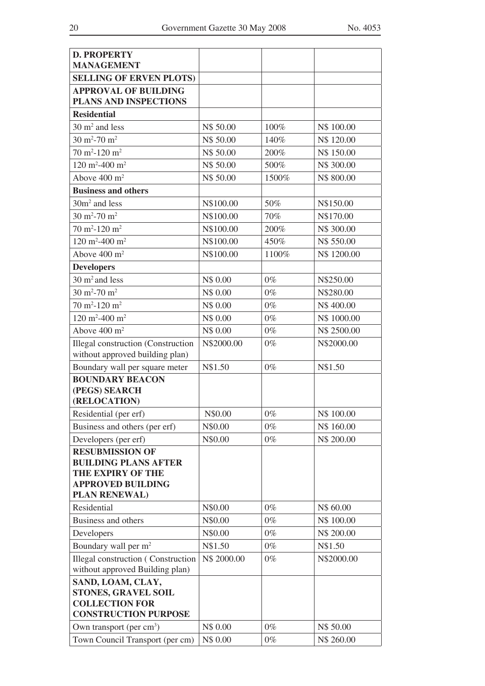| <b>D. PROPERTY</b><br><b>MANAGEMENT</b>                                      |             |       |             |
|------------------------------------------------------------------------------|-------------|-------|-------------|
| <b>SELLING OF ERVEN PLOTS)</b>                                               |             |       |             |
| <b>APPROVAL OF BUILDING</b>                                                  |             |       |             |
| PLANS AND INSPECTIONS                                                        |             |       |             |
| <b>Residential</b>                                                           |             |       |             |
| $30 \text{ m}^2$ and less                                                    | N\$ 50.00   | 100%  | N\$ 100.00  |
| $30 \text{ m}^2 - 70 \text{ m}^2$                                            | N\$ 50.00   | 140%  | N\$ 120.00  |
| $70 \text{ m}^2 - 120 \text{ m}^2$                                           | N\$ 50.00   | 200%  | N\$ 150.00  |
| 120 m <sup>2</sup> -400 m <sup>2</sup>                                       | N\$ 50.00   | 500%  | N\$ 300.00  |
| Above $400 \text{ m}^2$                                                      | N\$ 50.00   | 1500% | N\$800.00   |
| <b>Business and others</b>                                                   |             |       |             |
| $30m2$ and less                                                              | N\$100.00   | 50%   | N\$150.00   |
| $30 \text{ m}^2 - 70 \text{ m}^2$                                            | N\$100.00   | 70%   | N\$170.00   |
| $70 \text{ m}^2 - 120 \text{ m}^2$                                           | N\$100.00   | 200%  | N\$ 300.00  |
| 120 m <sup>2</sup> -400 m <sup>2</sup>                                       | N\$100.00   | 450%  | N\$ 550.00  |
| Above $400 \text{ m}^2$                                                      | N\$100.00   | 1100% | N\$ 1200.00 |
| <b>Developers</b>                                                            |             |       |             |
| $30 \text{ m}^2$ and less                                                    | N\$ 0.00    | $0\%$ | N\$250.00   |
| 30 m <sup>2</sup> -70 m <sup>2</sup>                                         | N\$ 0.00    | $0\%$ | N\$280.00   |
| $70 \text{ m}^2 - 120 \text{ m}^2$                                           | N\$ 0.00    | $0\%$ | N\$400.00   |
| 120 m <sup>2</sup> -400 m <sup>2</sup>                                       | N\$ 0.00    | $0\%$ | N\$ 1000.00 |
| Above $400 \text{ m}^2$                                                      | N\$ 0.00    | $0\%$ | N\$ 2500.00 |
| <b>Illegal construction (Construction</b>                                    | N\$2000.00  | $0\%$ | N\$2000.00  |
| without approved building plan)                                              |             |       |             |
| Boundary wall per square meter                                               | N\$1.50     | $0\%$ | N\$1.50     |
| <b>BOUNDARY BEACON</b>                                                       |             |       |             |
| (PEGS) SEARCH<br>(RELOCATION)                                                |             |       |             |
| Residential (per erf)                                                        | N\$0.00     | $0\%$ | N\$ 100.00  |
| Business and others (per erf)                                                | N\$0.00     | $0\%$ | N\$ 160.00  |
| Developers (per erf)                                                         | N\$0.00     | $0\%$ | N\$ 200.00  |
| <b>RESUBMISSION OF</b>                                                       |             |       |             |
| <b>BUILDING PLANS AFTER</b>                                                  |             |       |             |
| <b>THE EXPIRY OF THE</b>                                                     |             |       |             |
| <b>APPROVED BUILDING</b>                                                     |             |       |             |
| PLAN RENEWAL)                                                                |             |       |             |
| Residential                                                                  | N\$0.00     | $0\%$ | N\$ 60.00   |
| <b>Business and others</b>                                                   | N\$0.00     | $0\%$ | N\$ 100.00  |
| Developers                                                                   | N\$0.00     | $0\%$ | N\$ 200.00  |
| Boundary wall per m <sup>2</sup>                                             | N\$1.50     | $0\%$ | N\$1.50     |
| <b>Illegal construction</b> (Construction<br>without approved Building plan) | N\$ 2000.00 | $0\%$ | N\$2000.00  |
| SAND, LOAM, CLAY,                                                            |             |       |             |
| <b>STONES, GRAVEL SOIL</b>                                                   |             |       |             |
| <b>COLLECTION FOR</b>                                                        |             |       |             |
| <b>CONSTRUCTION PURPOSE</b>                                                  |             |       |             |
| Own transport (per $cm3$ )                                                   | N\$ 0.00    | $0\%$ | N\$ 50.00   |
| Town Council Transport (per cm)                                              | N\$ 0.00    | $0\%$ | N\$ 260.00  |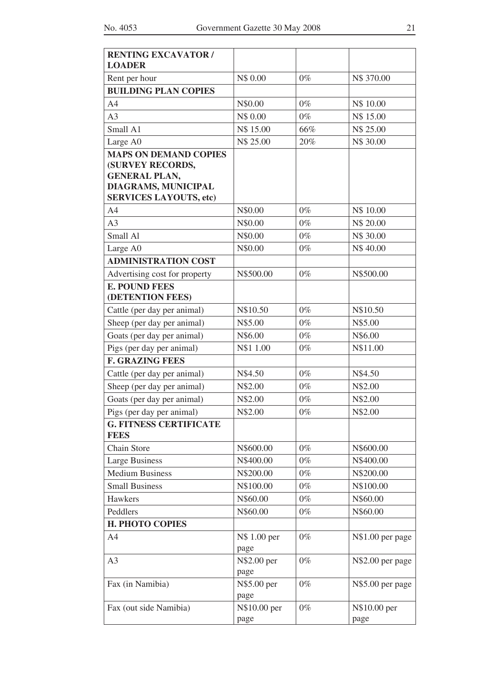| <b>RENTING EXCAVATOR /</b>                       |              |       |                  |
|--------------------------------------------------|--------------|-------|------------------|
| <b>LOADER</b>                                    |              |       |                  |
| Rent per hour                                    | N\$ 0.00     | $0\%$ | N\$ 370.00       |
| <b>BUILDING PLAN COPIES</b>                      |              |       |                  |
| A4                                               | N\$0.00      | $0\%$ | N\$ 10.00        |
| A <sub>3</sub>                                   | N\$ 0.00     | $0\%$ | N\$ 15.00        |
| Small A1                                         | N\$ 15.00    | 66%   | N\$ 25.00        |
| Large A0                                         | N\$ 25.00    | 20%   | N\$ 30.00        |
| <b>MAPS ON DEMAND COPIES</b><br>(SURVEY RECORDS, |              |       |                  |
| <b>GENERAL PLAN,</b>                             |              |       |                  |
| DIAGRAMS, MUNICIPAL                              |              |       |                  |
| <b>SERVICES LAYOUTS, etc)</b>                    |              |       |                  |
| A4                                               | N\$0.00      | $0\%$ | N\$ 10.00        |
| A <sub>3</sub>                                   | N\$0.00      | $0\%$ | N\$ 20.00        |
| Small Al                                         | N\$0.00      | $0\%$ | N\$ 30.00        |
| Large A0                                         | N\$0.00      | $0\%$ | N\$40.00         |
| <b>ADMINISTRATION COST</b>                       |              |       |                  |
| Advertising cost for property                    | N\$500.00    | $0\%$ | N\$500.00        |
| <b>E. POUND FEES</b>                             |              |       |                  |
| (DETENTION FEES)                                 |              |       |                  |
| Cattle (per day per animal)                      | N\$10.50     | $0\%$ | N\$10.50         |
| Sheep (per day per animal)                       | N\$5.00      | $0\%$ | N\$5.00          |
| Goats (per day per animal)                       | N\$6.00      | $0\%$ | N\$6.00          |
| Pigs (per day per animal)                        | N\$1 1.00    | $0\%$ | N\$11.00         |
| <b>F. GRAZING FEES</b>                           |              |       |                  |
| Cattle (per day per animal)                      | N\$4.50      | $0\%$ | N\$4.50          |
| Sheep (per day per animal)                       | N\$2.00      | $0\%$ | N\$2.00          |
| Goats (per day per animal)                       | N\$2.00      | $0\%$ | N\$2.00          |
| Pigs (per day per animal)                        | N\$2.00      | $0\%$ | N\$2.00          |
| <b>G. FITNESS CERTIFICATE</b><br><b>FEES</b>     |              |       |                  |
| Chain Store                                      | N\$600.00    | $0\%$ | N\$600.00        |
| <b>Large Business</b>                            | N\$400.00    | $0\%$ | N\$400.00        |
| <b>Medium Business</b>                           | N\$200.00    | $0\%$ | N\$200.00        |
| <b>Small Business</b>                            | N\$100.00    | $0\%$ | N\$100.00        |
| Hawkers                                          | N\$60.00     | $0\%$ | N\$60.00         |
| Peddlers                                         | N\$60.00     | $0\%$ | N\$60.00         |
| <b>H. PHOTO COPIES</b>                           |              |       |                  |
| A <sub>4</sub>                                   | N\$ 1.00 per | $0\%$ | N\$1.00 per page |
|                                                  | page         |       |                  |
| A <sub>3</sub>                                   | N\$2.00 per  | $0\%$ | N\$2.00 per page |
|                                                  | page         |       |                  |
| Fax (in Namibia)                                 | N\$5.00 per  | $0\%$ | N\$5.00 per page |
|                                                  | page         |       |                  |
| Fax (out side Namibia)                           | N\$10.00 per | $0\%$ | N\$10.00 per     |
|                                                  | page         |       | page             |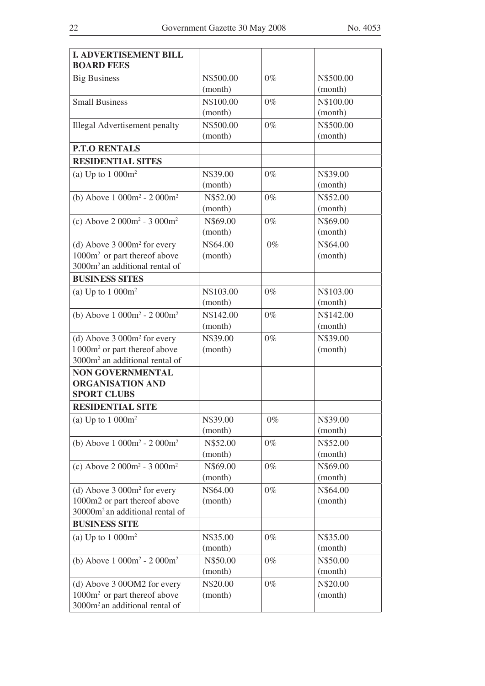| <b>I. ADVERTISEMENT BILL</b><br><b>BOARD FEES</b>                                                                                  |                      |       |                      |
|------------------------------------------------------------------------------------------------------------------------------------|----------------------|-------|----------------------|
| <b>Big Business</b>                                                                                                                | N\$500.00<br>(month) | $0\%$ | N\$500.00<br>(month) |
| <b>Small Business</b>                                                                                                              | N\$100.00<br>(month) | $0\%$ | N\$100.00<br>(month) |
| <b>Illegal Advertisement penalty</b>                                                                                               | N\$500.00<br>(month) | $0\%$ | N\$500.00<br>(month) |
| <b>P.T.O RENTALS</b>                                                                                                               |                      |       |                      |
| <b>RESIDENTIAL SITES</b>                                                                                                           |                      |       |                      |
| (a) Up to $1000m^2$                                                                                                                | N\$39.00<br>(month)  | $0\%$ | N\$39.00<br>(month)  |
| (b) Above $1000m^2 - 2000m^2$                                                                                                      | N\$52.00<br>(month)  | $0\%$ | N\$52.00<br>(month)  |
| (c) Above $2000m^2 - 3000m^2$                                                                                                      | N\$69.00<br>(month)  | $0\%$ | N\$69.00<br>(month)  |
| (d) Above $3000m^2$ for every<br>1000m <sup>2</sup> or part thereof above<br>3000m <sup>2</sup> an additional rental of            | N\$64.00<br>(month)  | $0\%$ | N\$64.00<br>(month)  |
| <b>BUSINESS SITES</b>                                                                                                              |                      |       |                      |
| (a) Up to $1000m^2$                                                                                                                | N\$103.00<br>(month) | $0\%$ | N\$103.00<br>(month) |
| (b) Above $1000m^2 - 2000m^2$                                                                                                      | N\$142.00<br>(month) | $0\%$ | N\$142.00<br>(month) |
| (d) Above 3 000m <sup>2</sup> for every<br>1 000m <sup>2</sup> or part thereof above<br>3000m <sup>2</sup> an additional rental of | N\$39.00<br>(month)  | $0\%$ | N\$39.00<br>(month)  |
| <b>NON GOVERNMENTAL</b><br><b>ORGANISATION AND</b><br><b>SPORT CLUBS</b>                                                           |                      |       |                      |
| <b>RESIDENTIAL SITE</b>                                                                                                            |                      |       |                      |
| (a) Up to $1000m^2$                                                                                                                | N\$39.00<br>(month)  | $0\%$ | N\$39.00<br>(month)  |
| (b) Above $1000m^2 - 2000m^2$                                                                                                      | N\$52.00<br>(month)  | $0\%$ | N\$52.00<br>(month)  |
| (c) Above $2000m^2 - 3000m^2$                                                                                                      | N\$69.00<br>(month)  | $0\%$ | N\$69.00<br>(month)  |
| (d) Above $3000m^2$ for every<br>1000m2 or part thereof above<br>30000m <sup>2</sup> an additional rental of                       | N\$64.00<br>(month)  | $0\%$ | N\$64.00<br>(month)  |
| <b>BUSINESS SITE</b>                                                                                                               |                      |       |                      |
| (a) Up to $1000m^2$                                                                                                                | N\$35.00<br>(month)  | $0\%$ | N\$35.00<br>(month)  |
| (b) Above $1000m^2 - 2000m^2$                                                                                                      | N\$50.00<br>(month)  | $0\%$ | N\$50.00<br>(month)  |
| (d) Above 3 00OM2 for every<br>1000m <sup>2</sup> or part thereof above<br>3000m <sup>2</sup> an additional rental of              | N\$20.00<br>(month)  | $0\%$ | N\$20.00<br>(month)  |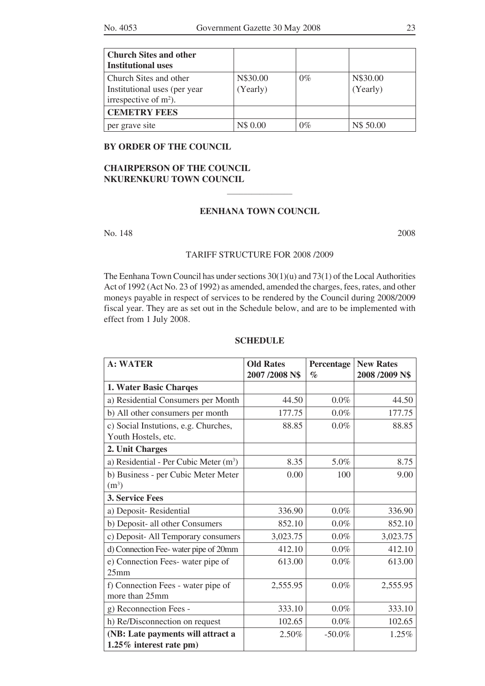| <b>Church Sites and other</b> |          |       |           |
|-------------------------------|----------|-------|-----------|
| <b>Institutional uses</b>     |          |       |           |
| Church Sites and other        | N\$30.00 | $0\%$ | N\$30.00  |
| Institutional uses (per year) | (Yearly) |       | (Yearly)  |
| irrespective of $m2$ ).       |          |       |           |
| <b>CEMETRY FEES</b>           |          |       |           |
| per grave site                | N\$ 0.00 | $0\%$ | N\$ 50.00 |

#### **BY ORDER OF THE COUNCIL**

## **CHAIRPERSON OF THE COUNCIL NKURENKURU TOWN COUNCIL**

## **EENHANA TOWN COUNCIL**

 $\mathcal{L}$  , we have the set of the set of the set of the set of the set of the set of the set of the set of the set of the set of the set of the set of the set of the set of the set of the set of the set of the set of the

No. 148 2008

## TARIFF STRUCTURE FOR 2008 /2009

The Eenhana Town Council has under sections  $30(1)(u)$  and  $73(1)$  of the Local Authorities Act of 1992 (Act No. 23 of 1992) as amended, amended the charges, fees, rates, and other moneys payable in respect of services to be rendered by the Council during 2008/2009 fiscal year. They are as set out in the Schedule below, and are to be implemented with effect from 1 July 2008.

## **SCHEDULE**

| <b>A: WATER</b>                                              | <b>Old Rates</b><br>2007/2008 N\$ | Percentage<br>$\mathcal{O}_0$ | <b>New Rates</b><br>2008/2009 N\$ |
|--------------------------------------------------------------|-----------------------------------|-------------------------------|-----------------------------------|
| 1. Water Basic Charges                                       |                                   |                               |                                   |
| a) Residential Consumers per Month                           | 44.50                             | $0.0\%$                       | 44.50                             |
| b) All other consumers per month                             | 177.75                            | $0.0\%$                       | 177.75                            |
| c) Social Instutions, e.g. Churches,<br>Youth Hostels, etc.  | 88.85                             | $0.0\%$                       | 88.85                             |
| 2. Unit Charges                                              |                                   |                               |                                   |
| a) Residential - Per Cubic Meter (m <sup>3</sup> )           | 8.35                              | 5.0%                          | 8.75                              |
| b) Business - per Cubic Meter Meter<br>(m <sup>3</sup> )     | 0.00                              | 100                           | 9.00                              |
| 3. Service Fees                                              |                                   |                               |                                   |
| a) Deposit-Residential                                       | 336.90                            | 0.0%                          | 336.90                            |
| b) Deposit- all other Consumers                              | 852.10                            | $0.0\%$                       | 852.10                            |
| c) Deposit- All Temporary consumers                          | 3,023.75                          | 0.0%                          | 3,023.75                          |
| d) Connection Fee-water pipe of 20mm                         | 412.10                            | $0.0\%$                       | 412.10                            |
| e) Connection Fees-water pipe of<br>25mm                     | 613.00                            | $0.0\%$                       | 613.00                            |
| f) Connection Fees - water pipe of<br>more than 25mm         | 2,555.95                          | $0.0\%$                       | 2,555.95                          |
| g) Reconnection Fees -                                       | 333.10                            | $0.0\%$                       | 333.10                            |
| h) Re/Disconnection on request                               | 102.65                            | $0.0\%$                       | 102.65                            |
| (NB: Late payments will attract a<br>1.25% interest rate pm) | 2.50%                             | $-50.0\%$                     | 1.25%                             |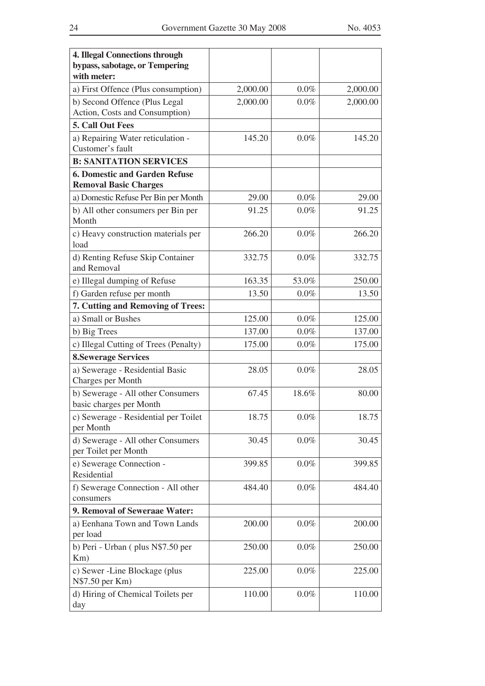| <b>4. Illegal Connections through</b><br>bypass, sabotage, or Tempering<br>with meter: |          |         |          |
|----------------------------------------------------------------------------------------|----------|---------|----------|
| a) First Offence (Plus consumption)                                                    | 2,000.00 | $0.0\%$ | 2,000.00 |
| b) Second Offence (Plus Legal<br>Action, Costs and Consumption)                        | 2,000.00 | 0.0%    | 2,000.00 |
| 5. Call Out Fees                                                                       |          |         |          |
| a) Repairing Water reticulation -<br>Customer's fault                                  | 145.20   | 0.0%    | 145.20   |
| <b>B: SANITATION SERVICES</b>                                                          |          |         |          |
| <b>6. Domestic and Garden Refuse</b><br><b>Removal Basic Charges</b>                   |          |         |          |
| a) Domestic Refuse Per Bin per Month                                                   | 29.00    | $0.0\%$ | 29.00    |
| b) All other consumers per Bin per<br>Month                                            | 91.25    | $0.0\%$ | 91.25    |
| c) Heavy construction materials per<br>load                                            | 266.20   | 0.0%    | 266.20   |
| d) Renting Refuse Skip Container<br>and Removal                                        | 332.75   | $0.0\%$ | 332.75   |
| e) Illegal dumping of Refuse                                                           | 163.35   | 53.0%   | 250.00   |
| f) Garden refuse per month                                                             | 13.50    | 0.0%    | 13.50    |
| 7. Cutting and Removing of Trees:                                                      |          |         |          |
| a) Small or Bushes                                                                     | 125.00   | $0.0\%$ | 125.00   |
| b) Big Trees                                                                           | 137.00   | 0.0%    | 137.00   |
| c) Illegal Cutting of Trees (Penalty)                                                  | 175.00   | 0.0%    | 175.00   |
| <b>8. Sewerage Services</b>                                                            |          |         |          |
| a) Sewerage - Residential Basic<br>Charges per Month                                   | 28.05    | $0.0\%$ | 28.05    |
| b) Sewerage - All other Consumers<br>basic charges per Month                           | 67.45    | 18.6%   | 80.00    |
| c) Sewerage - Residential per Toilet<br>per Month                                      | 18.75    | $0.0\%$ | 18.75    |
| d) Sewerage - All other Consumers<br>per Toilet per Month                              | 30.45    | $0.0\%$ | 30.45    |
| e) Sewerage Connection -<br>Residential                                                | 399.85   | $0.0\%$ | 399.85   |
| f) Sewerage Connection - All other<br>consumers                                        | 484.40   | $0.0\%$ | 484.40   |
| 9. Removal of Seweraae Water:                                                          |          |         |          |
| a) Eenhana Town and Town Lands<br>per load                                             | 200.00   | $0.0\%$ | 200.00   |
| b) Peri - Urban (plus N\$7.50 per<br>Km)                                               | 250.00   | $0.0\%$ | 250.00   |
| c) Sewer -Line Blockage (plus<br>N\$7.50 per Km)                                       | 225.00   | $0.0\%$ | 225.00   |
| d) Hiring of Chemical Toilets per<br>day                                               | 110.00   | $0.0\%$ | 110.00   |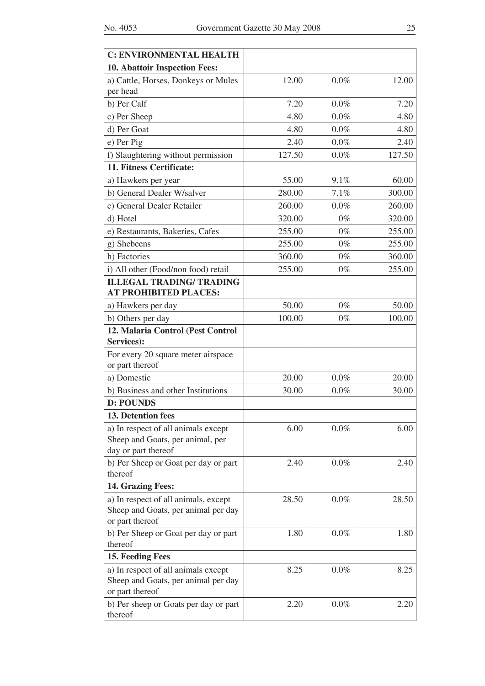| <b>C: ENVIRONMENTAL HEALTH</b>                                                                 |        |         |        |
|------------------------------------------------------------------------------------------------|--------|---------|--------|
| 10. Abattoir Inspection Fees:                                                                  |        |         |        |
| a) Cattle, Horses, Donkeys or Mules<br>per head                                                | 12.00  | $0.0\%$ | 12.00  |
| b) Per Calf                                                                                    | 7.20   | $0.0\%$ | 7.20   |
| c) Per Sheep                                                                                   | 4.80   | $0.0\%$ | 4.80   |
| d) Per Goat                                                                                    | 4.80   | $0.0\%$ | 4.80   |
| e) Per Pig                                                                                     | 2.40   | $0.0\%$ | 2.40   |
| f) Slaughtering without permission                                                             | 127.50 | $0.0\%$ | 127.50 |
| 11. Fitness Certificate:                                                                       |        |         |        |
| a) Hawkers per year                                                                            | 55.00  | 9.1%    | 60.00  |
| b) General Dealer W/salver                                                                     | 280.00 | 7.1%    | 300.00 |
| c) General Dealer Retailer                                                                     | 260.00 | 0.0%    | 260.00 |
| d) Hotel                                                                                       | 320.00 | $0\%$   | 320.00 |
| e) Restaurants, Bakeries, Cafes                                                                | 255.00 | $0\%$   | 255.00 |
| g) Shebeens                                                                                    | 255.00 | $0\%$   | 255.00 |
| h) Factories                                                                                   | 360.00 | $0\%$   | 360.00 |
| i) All other (Food/non food) retail                                                            | 255.00 | $0\%$   | 255.00 |
| <b>ILLEGAL TRADING/ TRADING</b><br><b>AT PROHIBITED PLACES:</b>                                |        |         |        |
| a) Hawkers per day                                                                             | 50.00  | $0\%$   | 50.00  |
| b) Others per day                                                                              | 100.00 | $0\%$   | 100.00 |
| 12. Malaria Control (Pest Control                                                              |        |         |        |
| Services):                                                                                     |        |         |        |
| For every 20 square meter airspace<br>or part thereof                                          |        |         |        |
| a) Domestic                                                                                    | 20.00  | $0.0\%$ | 20.00  |
| b) Business and other Institutions                                                             | 30.00  | $0.0\%$ | 30.00  |
| <b>D: POUNDS</b>                                                                               |        |         |        |
| 13. Detention fees                                                                             |        |         |        |
| a) In respect of all animals except<br>Sheep and Goats, per animal, per<br>day or part thereof | 6.00   | $0.0\%$ | 6.00   |
| b) Per Sheep or Goat per day or part<br>thereof                                                | 2.40   | $0.0\%$ | 2.40   |
| 14. Grazing Fees:                                                                              |        |         |        |
| a) In respect of all animals, except<br>Sheep and Goats, per animal per day<br>or part thereof | 28.50  | $0.0\%$ | 28.50  |
| b) Per Sheep or Goat per day or part<br>thereof                                                | 1.80   | $0.0\%$ | 1.80   |
| 15. Feeding Fees                                                                               |        |         |        |
| a) In respect of all animals except<br>Sheep and Goats, per animal per day<br>or part thereof  | 8.25   | $0.0\%$ | 8.25   |
| b) Per sheep or Goats per day or part<br>thereof                                               | 2.20   | $0.0\%$ | 2.20   |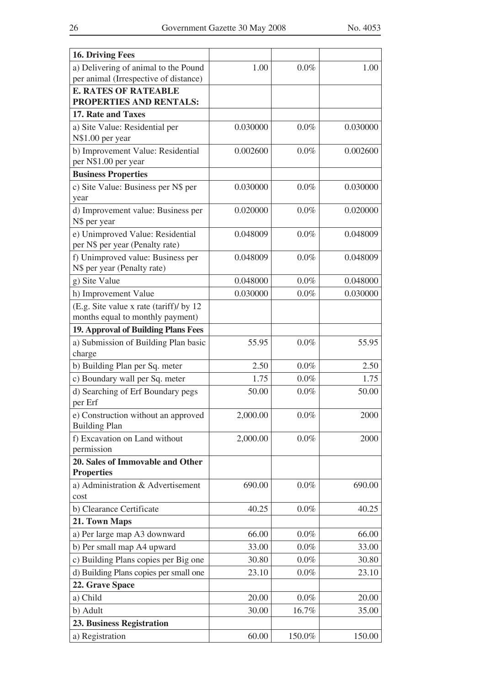| <b>16. Driving Fees</b>                                                     |          |         |          |
|-----------------------------------------------------------------------------|----------|---------|----------|
| a) Delivering of animal to the Pound                                        | 1.00     | 0.0%    | 1.00     |
| per animal (Irrespective of distance)                                       |          |         |          |
| <b>E. RATES OF RATEABLE</b>                                                 |          |         |          |
| PROPERTIES AND RENTALS:                                                     |          |         |          |
| 17. Rate and Taxes                                                          |          |         |          |
| a) Site Value: Residential per<br>N\$1.00 per year                          | 0.030000 | $0.0\%$ | 0.030000 |
| b) Improvement Value: Residential<br>per N\$1.00 per year                   | 0.002600 | 0.0%    | 0.002600 |
| <b>Business Properties</b>                                                  |          |         |          |
| c) Site Value: Business per N\$ per<br>year                                 | 0.030000 | 0.0%    | 0.030000 |
| d) Improvement value: Business per<br>N\$ per year                          | 0.020000 | 0.0%    | 0.020000 |
| e) Unimproved Value: Residential<br>per N\$ per year (Penalty rate)         | 0.048009 | 0.0%    | 0.048009 |
| f) Unimproved value: Business per<br>N\$ per year (Penalty rate)            | 0.048009 | $0.0\%$ | 0.048009 |
| g) Site Value                                                               | 0.048000 | $0.0\%$ | 0.048000 |
| h) Improvement Value                                                        | 0.030000 | $0.0\%$ | 0.030000 |
| (E.g. Site value x rate (tariff)/ by 12<br>months equal to monthly payment) |          |         |          |
| 19. Approval of Building Plans Fees                                         |          |         |          |
| a) Submission of Building Plan basic<br>charge                              | 55.95    | $0.0\%$ | 55.95    |
| b) Building Plan per Sq. meter                                              | 2.50     | $0.0\%$ | 2.50     |
| c) Boundary wall per Sq. meter                                              | 1.75     | $0.0\%$ | 1.75     |
| d) Searching of Erf Boundary pegs<br>per Erf                                | 50.00    | $0.0\%$ | 50.00    |
| e) Construction without an approved<br><b>Building Plan</b>                 | 2,000.00 | $0.0\%$ | 2000     |
| f) Excavation on Land without                                               | 2,000.00 | $0.0\%$ | 2000     |
| permission                                                                  |          |         |          |
| 20. Sales of Immovable and Other<br><b>Properties</b>                       |          |         |          |
| a) Administration & Advertisement<br>cost                                   | 690.00   | $0.0\%$ | 690.00   |
| b) Clearance Certificate                                                    | 40.25    | $0.0\%$ | 40.25    |
| 21. Town Maps                                                               |          |         |          |
| a) Per large map A3 downward                                                | 66.00    | $0.0\%$ | 66.00    |
| b) Per small map A4 upward                                                  | 33.00    | $0.0\%$ | 33.00    |
| c) Building Plans copies per Big one                                        | 30.80    | $0.0\%$ | 30.80    |
| d) Building Plans copies per small one                                      | 23.10    | $0.0\%$ | 23.10    |
| 22. Grave Space                                                             |          |         |          |
| a) Child                                                                    | 20.00    | $0.0\%$ | 20.00    |
| b) Adult                                                                    | 30.00    | 16.7%   | 35.00    |
| <b>23. Business Registration</b>                                            |          |         |          |
| a) Registration                                                             | 60.00    | 150.0%  | 150.00   |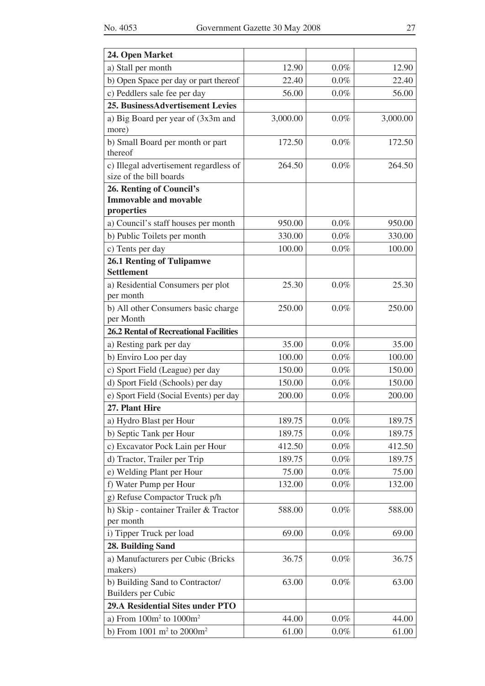| 24. Open Market                                                     |                  |                    |                  |
|---------------------------------------------------------------------|------------------|--------------------|------------------|
| a) Stall per month                                                  | 12.90            | $0.0\%$            | 12.90            |
| b) Open Space per day or part thereof                               | 22.40            | $0.0\%$            | 22.40            |
| c) Peddlers sale fee per day                                        | 56.00            | $0.0\%$            | 56.00            |
| 25. BusinessAdvertisement Levies                                    |                  |                    |                  |
| a) Big Board per year of (3x3m and                                  | 3,000.00         | $0.0\%$            | 3,000.00         |
| more)                                                               |                  |                    |                  |
| b) Small Board per month or part                                    | 172.50           | $0.0\%$            | 172.50           |
| thereof                                                             |                  |                    |                  |
| c) Illegal advertisement regardless of<br>size of the bill boards   | 264.50           | $0.0\%$            | 264.50           |
| 26. Renting of Council's                                            |                  |                    |                  |
| <b>Immovable and movable</b>                                        |                  |                    |                  |
| properties                                                          |                  |                    |                  |
| a) Council's staff houses per month                                 | 950.00           | $0.0\%$            | 950.00           |
| b) Public Toilets per month                                         | 330.00           | $0.0\%$            | 330.00           |
| c) Tents per day                                                    | 100.00           | $0.0\%$            | 100.00           |
| <b>26.1 Renting of Tulipamwe</b><br><b>Settlement</b>               |                  |                    |                  |
| a) Residential Consumers per plot                                   | 25.30            | 0.0%               | 25.30            |
| per month                                                           |                  |                    |                  |
| b) All other Consumers basic charge                                 | 250.00           | 0.0%               | 250.00           |
| per Month                                                           |                  |                    |                  |
| <b>26.2 Rental of Recreational Facilities</b>                       |                  |                    |                  |
| a) Resting park per day                                             | 35.00            | $0.0\%$            | 35.00            |
| b) Enviro Loo per day                                               | 100.00<br>150.00 | $0.0\%$<br>$0.0\%$ | 100.00<br>150.00 |
| c) Sport Field (League) per day<br>d) Sport Field (Schools) per day | 150.00           | $0.0\%$            | 150.00           |
| e) Sport Field (Social Events) per day                              | 200.00           | $0.0\%$            | 200.00           |
| 27. Plant Hire                                                      |                  |                    |                  |
| a) Hydro Blast per Hour                                             | 189.75           | $0.0\%$            | 189.75           |
| b) Septic Tank per Hour                                             | 189.75           | $0.0\%$            | 189.75           |
| c) Excavator Pock Lain per Hour                                     | 412.50           | $0.0\%$            | 412.50           |
| d) Tractor, Trailer per Trip                                        | 189.75           | $0.0\%$            | 189.75           |
| e) Welding Plant per Hour                                           | 75.00            | $0.0\%$            | 75.00            |
| f) Water Pump per Hour                                              | 132.00           | $0.0\%$            | 132.00           |
| g) Refuse Compactor Truck p/h                                       |                  |                    |                  |
| h) Skip - container Trailer & Tractor                               | 588.00           | $0.0\%$            | 588.00           |
| per month                                                           |                  |                    |                  |
| i) Tipper Truck per load                                            | 69.00            | $0.0\%$            | 69.00            |
| 28. Building Sand                                                   |                  |                    |                  |
| a) Manufacturers per Cubic (Bricks<br>makers)                       | 36.75            | $0.0\%$            | 36.75            |
| b) Building Sand to Contractor/                                     | 63.00            | $0.0\%$            | 63.00            |
| <b>Builders</b> per Cubic                                           |                  |                    |                  |
| <b>29.A Residential Sites under PTO</b>                             |                  |                    |                  |
| a) From $100m^2$ to $1000m^2$                                       | 44.00            | $0.0\%$            | 44.00            |
| b) From $1001 \text{ m}^2$ to $2000 \text{m}^2$                     | 61.00            | $0.0\%$            | 61.00            |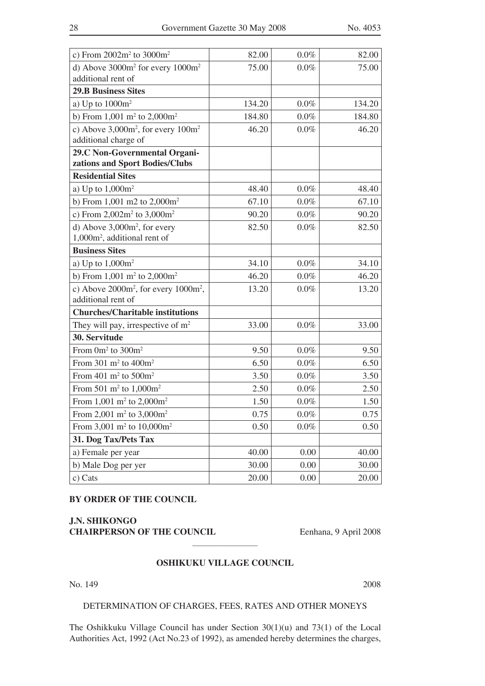| c) From $2002m^2$ to $3000m^2$                           | 82.00  | 0.0%    | 82.00  |
|----------------------------------------------------------|--------|---------|--------|
| d) Above $3000m^2$ for every $1000m^2$                   | 75.00  | 0.0%    | 75.00  |
| additional rent of                                       |        |         |        |
| <b>29.B Business Sites</b>                               |        |         |        |
| a) Up to $1000m^2$                                       | 134.20 | 0.0%    | 134.20 |
| b) From $1,001 \text{ m}^2$ to $2,000 \text{ m}^2$       | 184.80 | 0.0%    | 184.80 |
| c) Above $3,000m^2$ , for every $100m^2$                 | 46.20  | 0.0%    | 46.20  |
| additional charge of                                     |        |         |        |
| 29.C Non-Governmental Organi-                            |        |         |        |
| zations and Sport Bodies/Clubs                           |        |         |        |
| <b>Residential Sites</b>                                 |        |         |        |
| a) Up to $1,000m^2$                                      | 48.40  | $0.0\%$ | 48.40  |
| b) From 1,001 m2 to $2,000m^2$                           | 67.10  | 0.0%    | 67.10  |
| c) From $2,002m^2$ to $3,000m^2$                         | 90.20  | 0.0%    | 90.20  |
| d) Above $3,000m^2$ , for every                          | 82.50  | 0.0%    | 82.50  |
| 1,000m <sup>2</sup> , additional rent of                 |        |         |        |
| <b>Business Sites</b>                                    |        |         |        |
| a) Up to $1,000m^2$                                      | 34.10  | 0.0%    | 34.10  |
| b) From $1,001$ m <sup>2</sup> to $2,000$ m <sup>2</sup> | 46.20  | $0.0\%$ | 46.20  |
| c) Above $2000m^2$ , for every $1000m^2$ ,               | 13.20  | 0.0%    | 13.20  |
| additional rent of                                       |        |         |        |
| <b>Churches/Charitable institutions</b>                  |        |         |        |
| They will pay, irrespective of $m2$                      | 33.00  | $0.0\%$ | 33.00  |
| 30. Servitude                                            |        |         |        |
| From $0m^2$ to $300m^2$                                  | 9.50   | $0.0\%$ | 9.50   |
| From 301 $m^2$ to 400 $m^2$                              | 6.50   | 0.0%    | 6.50   |
| From $401 \text{ m}^2$ to $500 \text{m}^2$               | 3.50   | 0.0%    | 3.50   |
| From 501 m <sup>2</sup> to $1,000$ m <sup>2</sup>        | 2.50   | $0.0\%$ | 2.50   |
| From 1,001 m <sup>2</sup> to 2,000m <sup>2</sup>         | 1.50   | $0.0\%$ | 1.50   |
| From 2,001 m <sup>2</sup> to 3,000m <sup>2</sup>         | 0.75   | $0.0\%$ | 0.75   |
| From 3,001 m <sup>2</sup> to 10,000m <sup>2</sup>        | 0.50   | $0.0\%$ | 0.50   |
| 31. Dog Tax/Pets Tax                                     |        |         |        |
| a) Female per year                                       | 40.00  | 0.00    | 40.00  |
| b) Male Dog per yer                                      | 30.00  | 0.00    | 30.00  |
| c) Cats                                                  | 20.00  | 0.00    | 20.00  |

#### **BY ORDER OF THE COUNCIL**

**J.N. SHIKONGO CHAIRPERSON OF THE COUNCIL** Eenhana, 9 April 2008

#### **OSHIKUKU VILLAGE COUNCIL**

 $\mathcal{L}$  , we have the set of the set of the set of the set of the set of the set of the set of the set of the set of the set of the set of the set of the set of the set of the set of the set of the set of the set of the

No. 149 2008

#### DETERMINATION OF CHARGES, FEES, RATES AND OTHER MONEYS

The Oshikkuku Village Council has under Section 30(1)(u) and 73(1) of the Local Authorities Act, 1992 (Act No.23 of 1992), as amended hereby determines the charges,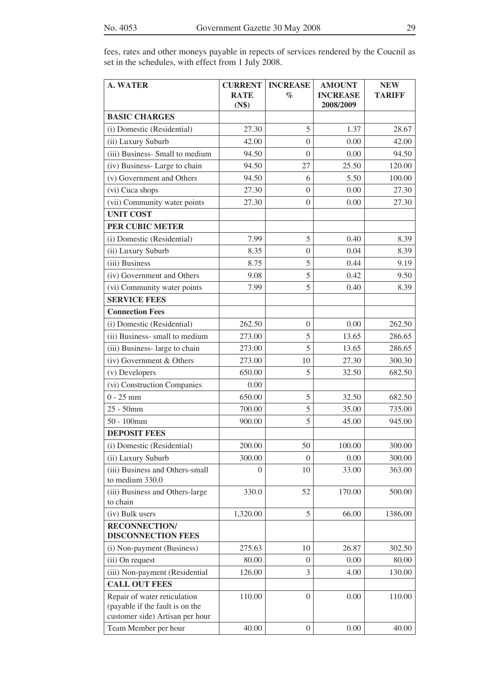| fees, rates and other moneys payable in repects of services rendered by the Coucnil as |  |  |  |  |  |  |
|----------------------------------------------------------------------------------------|--|--|--|--|--|--|
| set in the schedules, with effect from 1 July 2008.                                    |  |  |  |  |  |  |

| <b>A. WATER</b>                                                                                    | <b>CURRENT</b>       | <b>INCREASE</b>  | <b>AMOUNT</b>                | <b>NEW</b>    |
|----------------------------------------------------------------------------------------------------|----------------------|------------------|------------------------------|---------------|
|                                                                                                    | <b>RATE</b><br>(N\$) | $\%$             | <b>INCREASE</b><br>2008/2009 | <b>TARIFF</b> |
| <b>BASIC CHARGES</b>                                                                               |                      |                  |                              |               |
| (i) Domestic (Residential)                                                                         | 27.30                | 5                | 1.37                         | 28.67         |
| (ii) Luxury Suburb                                                                                 | 42.00                | $\Omega$         | 0.00                         | 42.00         |
| (iii) Business- Small to medium                                                                    | 94.50                | $\Omega$         | 0.00                         | 94.50         |
| (iv) Business-Large to chain                                                                       | 94.50                | 27               | 25.50                        | 120.00        |
| (v) Government and Others                                                                          | 94.50                | 6                | 5.50                         | 100.00        |
| (vi) Cuca shops                                                                                    | 27.30                | $\boldsymbol{0}$ | 0.00                         | 27.30         |
| (vii) Community water points                                                                       | 27.30                | $\overline{0}$   | 0.00                         | 27.30         |
| <b>UNIT COST</b>                                                                                   |                      |                  |                              |               |
| PER CUBIC METER                                                                                    |                      |                  |                              |               |
| (i) Domestic (Residential)                                                                         | 7.99                 | 5                | 0.40                         | 8.39          |
| (ii) Luxury Suburb                                                                                 | 8.35                 | $\overline{0}$   | 0.04                         | 8.39          |
| (iii) Business                                                                                     | 8.75                 | 5                | 0.44                         | 9.19          |
| (iv) Government and Others                                                                         | 9.08                 | 5                | 0.42                         | 9.50          |
| (vi) Community water points                                                                        | 7.99                 | 5                | 0.40                         | 8.39          |
| <b>SERVICE FEES</b>                                                                                |                      |                  |                              |               |
| <b>Connection Fees</b>                                                                             |                      |                  |                              |               |
| (i) Domestic (Residential)                                                                         | 262.50               | $\overline{0}$   | 0.00                         | 262.50        |
| (ii) Business- small to medium                                                                     | 273.00               | 5                | 13.65                        | 286.65        |
| (iii) Business- large to chain                                                                     | 273.00               | 5                | 13.65                        | 286.65        |
| (iv) Government & Others                                                                           | 273.00               | 10               | 27.30                        | 300.30        |
| (v) Developers                                                                                     | 650.00               | 5                | 32.50                        | 682.50        |
| (vi) Construction Companies                                                                        | 0.00                 |                  |                              |               |
| $0 - 25$ mm                                                                                        | 650.00               | 5                | 32.50                        | 682.50        |
| $25 - 50$ mm                                                                                       | 700.00               | 5                | 35.00                        | 735.00        |
| $50 - 100$ mm                                                                                      | 900.00               | 5                | 45.00                        | 945.00        |
| <b>DEPOSIT FEES</b>                                                                                |                      |                  |                              |               |
| (i) Domestic (Residential)                                                                         | 200.00               | 50               | 100.00                       | 300.00        |
| (ii) Luxury Suburb                                                                                 | 300.00               | $\Omega$         | 0.00                         | 300.00        |
| (iii) Business and Others-small<br>to medium 330.0                                                 | 0                    | 10               | 33.00                        | 363.00        |
| (iii) Business and Others-large<br>to chain                                                        | 330.0                | 52               | 170.00                       | 500.00        |
| (iv) Bulk users                                                                                    | 1,320.00             | 5                | 66.00                        | 1386.00       |
| <b>RECONNECTION</b><br><b>DISCONNECTION FEES</b>                                                   |                      |                  |                              |               |
| (i) Non-payment (Business)                                                                         | 275.63               | 10               | 26.87                        | 302.50        |
| (ii) On request                                                                                    | 80.00                | $\overline{0}$   | 0.00                         | 80.00         |
| (iii) Non-payment (Residential                                                                     | 126.00               | 3                | 4.00                         | 130.00        |
| <b>CALL OUT FEES</b>                                                                               |                      |                  |                              |               |
| Repair of water reticulation<br>(payable if the fault is on the<br>customer side) Artisan per hour | 110.00               | $\boldsymbol{0}$ | 0.00                         | 110.00        |
| Team Member per hour                                                                               | 40.00                | $\boldsymbol{0}$ | 0.00                         | 40.00         |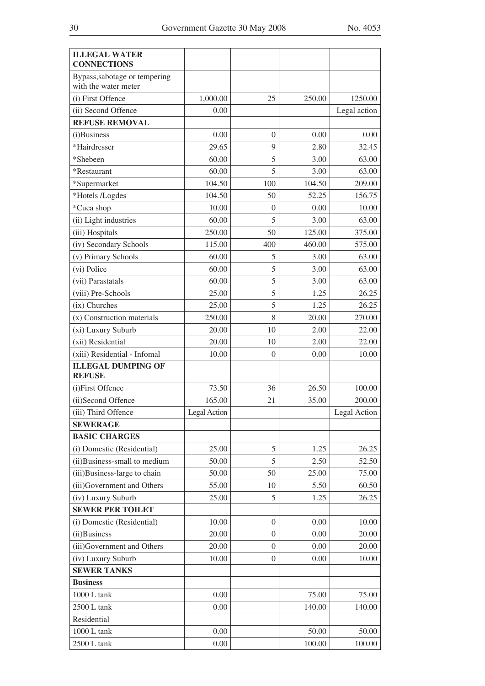| <b>ILLEGAL WATER</b><br><b>CONNECTIONS</b>            |                     |                |        |              |
|-------------------------------------------------------|---------------------|----------------|--------|--------------|
| Bypass, sabotage or tempering<br>with the water meter |                     |                |        |              |
| (i) First Offence                                     | 1,000.00            | 25             | 250.00 | 1250.00      |
| (ii) Second Offence                                   | 0.00                |                |        | Legal action |
| <b>REFUSE REMOVAL</b>                                 |                     |                |        |              |
| (i)Business                                           | 0.00                | $\overline{0}$ | 0.00   | 0.00         |
| *Hairdresser                                          | 29.65               | $\mathbf Q$    | 2.80   | 32.45        |
| *Shebeen                                              | 60.00               | 5              | 3.00   | 63.00        |
| *Restaurant                                           | 60.00               | 5              | 3.00   | 63.00        |
| *Supermarket                                          | 104.50              | 100            | 104.50 | 209.00       |
| *Hotels /Logdes                                       | 104.50              | 50             | 52.25  | 156.75       |
| *Cuca shop                                            | 10.00               | $\overline{0}$ | 0.00   | 10.00        |
| (ii) Light industries                                 | 60.00               | 5              | 3.00   | 63.00        |
| (iii) Hospitals                                       | 250.00              | 50             | 125.00 | 375.00       |
| (iv) Secondary Schools                                | 115.00              | 400            | 460.00 | 575.00       |
| (v) Primary Schools                                   | 60.00               | 5              | 3.00   | 63.00        |
| (vi) Police                                           | 60.00               | 5              | 3.00   | 63.00        |
| (vii) Parastatals                                     | 60.00               | 5              | 3.00   | 63.00        |
| (viii) Pre-Schools                                    | 25.00               | 5              | 1.25   | 26.25        |
| (ix) Churches                                         | 25.00               | 5              | 1.25   | 26.25        |
| (x) Construction materials                            | 250.00              | 8              | 20.00  | 270.00       |
| (xi) Luxury Suburb                                    | 20.00               | 10             | 2.00   | 22.00        |
| (xii) Residential                                     | 20.00               | 10             | 2.00   | 22.00        |
| (xiii) Residential - Infomal                          | 10.00               | $\overline{0}$ | 0.00   | 10.00        |
| <b>ILLEGAL DUMPING OF</b><br><b>REFUSE</b>            |                     |                |        |              |
| (i)First Offence                                      | 73.50               | 36             | 26.50  | 100.00       |
| (ii)Second Offence                                    | 165.00              | 21             | 35.00  | 200.00       |
| (iii) Third Offence                                   | <b>Legal Action</b> |                |        | Legal Action |
| <b>SEWERAGE</b>                                       |                     |                |        |              |
| <b>BASIC CHARGES</b>                                  |                     |                |        |              |
| (i) Domestic (Residential)                            | 25.00               | 5              | 1.25   | 26.25        |
| (ii)Business-small to medium                          | 50.00               | 5              | 2.50   | 52.50        |
| (iii)Business-large to chain                          | 50.00               | 50             | 25.00  | 75.00        |
| (iii)Government and Others                            | 55.00               | 10             | 5.50   | 60.50        |
| (iv) Luxury Suburb                                    | 25.00               | 5              | 1.25   | 26.25        |
| <b>SEWER PER TOILET</b>                               |                     |                |        |              |
| (i) Domestic (Residential)                            | 10.00               | $\overline{0}$ | 0.00   | 10.00        |
| (ii)Business                                          | 20.00               | $\theta$       | 0.00   | 20.00        |
| (iii)Government and Others                            | 20.00               | $\theta$       | 0.00   | 20.00        |
| (iv) Luxury Suburb                                    | 10.00               | $\overline{0}$ | 0.00   | 10.00        |
| <b>SEWER TANKS</b>                                    |                     |                |        |              |
| <b>Business</b>                                       |                     |                |        |              |
| $1000$ L $\tanh$                                      | 0.00                |                | 75.00  | 75.00        |
| 2500 L tank                                           | 0.00                |                | 140.00 | 140.00       |
| Residential                                           |                     |                |        |              |
| 1000 L tank                                           | 0.00                |                | 50.00  | 50.00        |
| 2500 L tank                                           | 0.00                |                | 100.00 | 100.00       |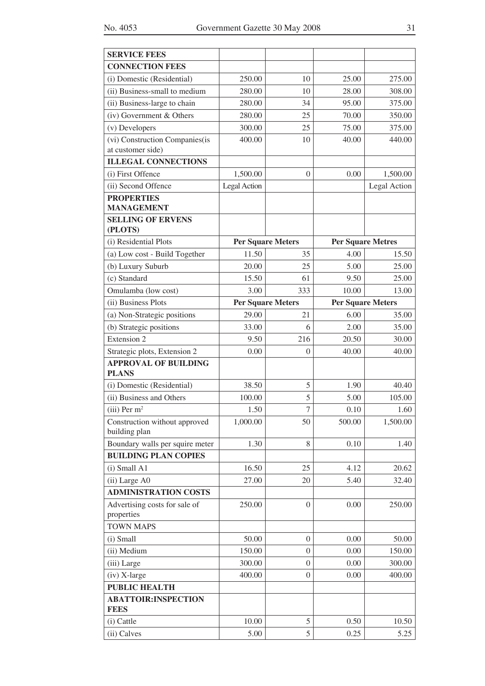| <b>SERVICE FEES</b>                            |                     |                          |                          |              |  |
|------------------------------------------------|---------------------|--------------------------|--------------------------|--------------|--|
| <b>CONNECTION FEES</b>                         |                     |                          |                          |              |  |
| (i) Domestic (Residential)                     | 250.00              | 10                       | 25.00                    | 275.00       |  |
| (ii) Business-small to medium                  | 280.00              | 10                       | 28.00                    | 308.00       |  |
| (ii) Business-large to chain                   | 280.00              | 34                       | 95.00                    | 375.00       |  |
| (iv) Government & Others                       | 280.00              | 25                       | 70.00                    | 350.00       |  |
| (v) Developers                                 | 300.00              | 25                       | 75.00                    | 375.00       |  |
| (vi) Construction Companies(is                 | 400.00              | 10                       | 40.00                    | 440.00       |  |
| at customer side)                              |                     |                          |                          |              |  |
| <b>ILLEGAL CONNECTIONS</b>                     |                     |                          |                          |              |  |
| (i) First Offence                              | 1,500.00            | $\overline{0}$           | 0.00                     | 1,500.00     |  |
| (ii) Second Offence                            | <b>Legal Action</b> |                          |                          | Legal Action |  |
| <b>PROPERTIES</b>                              |                     |                          |                          |              |  |
| <b>MANAGEMENT</b><br><b>SELLING OF ERVENS</b>  |                     |                          |                          |              |  |
| (PLOTS)                                        |                     |                          |                          |              |  |
| (i) Residential Plots                          |                     | <b>Per Square Meters</b> | <b>Per Square Metres</b> |              |  |
| (a) Low cost - Build Together                  | 11.50               | 35                       | 4.00                     | 15.50        |  |
| (b) Luxury Suburb                              | 20.00               | 25                       | 5.00                     | 25.00        |  |
| (c) Standard                                   | 15.50               | 61                       | 9.50                     | 25.00        |  |
| Omulamba (low cost)                            | 3.00                | 333                      | 10.00                    | 13.00        |  |
| (ii) Business Plots                            |                     | <b>Per Square Meters</b> | <b>Per Square Meters</b> |              |  |
| (a) Non-Strategic positions                    | 29.00               | 21                       | 6.00                     | 35.00        |  |
| (b) Strategic positions                        | 33.00               | 6                        | 2.00                     | 35.00        |  |
| <b>Extension 2</b>                             | 9.50                | 216                      | 20.50                    | 30.00        |  |
| Strategic plots, Extension 2                   | 0.00                | 0                        | 40.00                    | 40.00        |  |
| <b>APPROVAL OF BUILDING</b>                    |                     |                          |                          |              |  |
| <b>PLANS</b>                                   |                     |                          |                          |              |  |
| (i) Domestic (Residential)                     | 38.50               | 5                        | 1.90                     | 40.40        |  |
| (ii) Business and Others                       | 100.00              | 5                        | 5.00                     | 105.00       |  |
| $(iii)$ Per m <sup>2</sup>                     | 1.50                | $\overline{7}$           | 0.10                     | 1.60         |  |
| Construction without approved<br>building plan | 1,000.00            | 50                       | 500.00                   | 1,500.00     |  |
| Boundary walls per squire meter                | 1.30                | 8                        | 0.10                     | 1.40         |  |
| <b>BUILDING PLAN COPIES</b>                    |                     |                          |                          |              |  |
| $(i)$ Small A1                                 | 16.50               | 25                       | 4.12                     | 20.62        |  |
| (ii) Large A0                                  | 27.00               | 20                       | 5.40                     | 32.40        |  |
| <b>ADMINISTRATION COSTS</b>                    |                     |                          |                          |              |  |
| Advertising costs for sale of<br>properties    | 250.00              | $\overline{0}$           | 0.00                     | 250.00       |  |
| <b>TOWN MAPS</b>                               |                     |                          |                          |              |  |
| (i) Small                                      | 50.00               | $\boldsymbol{0}$         | 0.00                     | 50.00        |  |
| (ii) Medium                                    | 150.00              | $\overline{0}$           | 0.00                     | 150.00       |  |
| (iii) Large                                    | 300.00              | $\boldsymbol{0}$         | 0.00                     | 300.00       |  |
| (iv) X-large                                   | 400.00              | $\boldsymbol{0}$         | 0.00                     | 400.00       |  |
| <b>PUBLIC HEALTH</b>                           |                     |                          |                          |              |  |
| <b>ABATTOIR:INSPECTION</b><br><b>FEES</b>      |                     |                          |                          |              |  |
| (i) Cattle                                     | 10.00               | $\mathfrak s$            | 0.50                     | 10.50        |  |
| (ii) Calves                                    | 5.00                | 5                        | 0.25                     | 5.25         |  |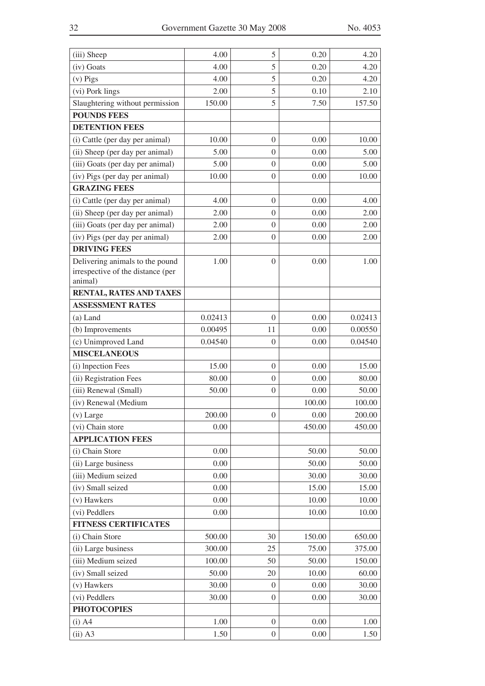| (iii) Sheep                                                                     | 4.00    | 5                | 0.20   | 4.20    |
|---------------------------------------------------------------------------------|---------|------------------|--------|---------|
| (iv) Goats                                                                      | 4.00    | 5                | 0.20   | 4.20    |
| $(v)$ Pigs                                                                      | 4.00    | 5                | 0.20   | 4.20    |
| (vi) Pork lings                                                                 | 2.00    | 5                | 0.10   | 2.10    |
| Slaughtering without permission                                                 | 150.00  | 5                | 7.50   | 157.50  |
| <b>POUNDS FEES</b>                                                              |         |                  |        |         |
| <b>DETENTION FEES</b>                                                           |         |                  |        |         |
| (i) Cattle (per day per animal)                                                 | 10.00   | $\overline{0}$   | 0.00   | 10.00   |
| (ii) Sheep (per day per animal)                                                 | 5.00    | $\boldsymbol{0}$ | 0.00   | 5.00    |
| (iii) Goats (per day per animal)                                                | 5.00    | $\boldsymbol{0}$ | 0.00   | 5.00    |
| (iv) Pigs (per day per animal)                                                  | 10.00   | $\overline{0}$   | 0.00   | 10.00   |
| <b>GRAZING FEES</b>                                                             |         |                  |        |         |
| (i) Cattle (per day per animal)                                                 | 4.00    | $\boldsymbol{0}$ | 0.00   | 4.00    |
| (ii) Sheep (per day per animal)                                                 | 2.00    | $\boldsymbol{0}$ | 0.00   | 2.00    |
| (iii) Goats (per day per animal)                                                | 2.00    | $\boldsymbol{0}$ | 0.00   | 2.00    |
| (iv) Pigs (per day per animal)                                                  | 2.00    | $\boldsymbol{0}$ | 0.00   | 2.00    |
| <b>DRIVING FEES</b>                                                             |         |                  |        |         |
| Delivering animals to the pound<br>irrespective of the distance (per<br>animal) | 1.00    | $\overline{0}$   | 0.00   | 1.00    |
| RENTAL, RATES AND TAXES                                                         |         |                  |        |         |
| <b>ASSESSMENT RATES</b>                                                         |         |                  |        |         |
| $(a)$ Land                                                                      | 0.02413 | $\overline{0}$   | 0.00   | 0.02413 |
| (b) Improvements                                                                | 0.00495 | 11               | 0.00   | 0.00550 |
| (c) Unimproved Land                                                             | 0.04540 | $\boldsymbol{0}$ | 0.00   | 0.04540 |
| <b>MISCELANEOUS</b>                                                             |         |                  |        |         |
| (i) Inpection Fees                                                              | 15.00   | $\overline{0}$   | 0.00   | 15.00   |
| (ii) Registration Fees                                                          | 80.00   | $\boldsymbol{0}$ | 0.00   | 80.00   |
| (iii) Renewal (Small)                                                           | 50.00   | $\boldsymbol{0}$ | 0.00   | 50.00   |
| (iv) Renewal (Medium                                                            |         |                  | 100.00 | 100.00  |
| (v) Large                                                                       | 200.00  | $\boldsymbol{0}$ | 0.00   | 200.00  |
| (vi) Chain store                                                                | 0.00    |                  | 450.00 | 450.00  |
| <b>APPLICATION FEES</b>                                                         |         |                  |        |         |
| (i) Chain Store                                                                 | 0.00    |                  | 50.00  | 50.00   |
| (ii) Large business                                                             | 0.00    |                  | 50.00  | 50.00   |
| (iii) Medium seized                                                             | 0.00    |                  | 30.00  | 30.00   |
| (iv) Small seized                                                               | 0.00    |                  | 15.00  | 15.00   |
| (v) Hawkers                                                                     | 0.00    |                  | 10.00  | 10.00   |
| (vi) Peddlers                                                                   | 0.00    |                  | 10.00  | 10.00   |
| <b>FITNESS CERTIFICATES</b>                                                     |         |                  |        |         |
| (i) Chain Store                                                                 | 500.00  | 30               | 150.00 | 650.00  |
| (ii) Large business                                                             | 300.00  | 25               | 75.00  | 375.00  |
| (iii) Medium seized                                                             | 100.00  | 50               | 50.00  | 150.00  |
| (iv) Small seized                                                               | 50.00   | 20               | 10.00  | 60.00   |
| (v) Hawkers                                                                     | 30.00   | 0                | 0.00   | 30.00   |
| (vi) Peddlers                                                                   | 30.00   | $\overline{0}$   | 0.00   | 30.00   |
| <b>PHOTOCOPIES</b>                                                              |         |                  |        |         |
| $(i)$ A4                                                                        | 1.00    | $\boldsymbol{0}$ | 0.00   | 1.00    |
| $(ii)$ A3                                                                       | 1.50    | $\boldsymbol{0}$ | 0.00   | 1.50    |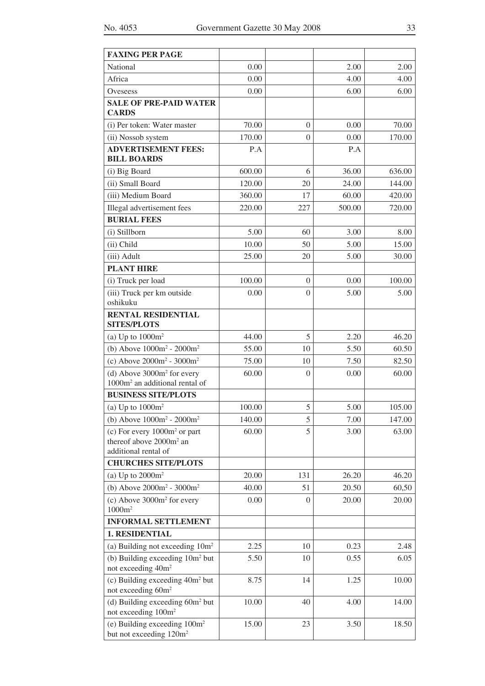| <b>FAXING PER PAGE</b>                                                         |        |                  |        |        |
|--------------------------------------------------------------------------------|--------|------------------|--------|--------|
| National                                                                       | 0.00   |                  | 2.00   | 2.00   |
| Africa                                                                         | 0.00   |                  | 4.00   | 4.00   |
| Oveseess                                                                       | 0.00   |                  | 6.00   | 6.00   |
| <b>SALE OF PRE-PAID WATER</b><br><b>CARDS</b>                                  |        |                  |        |        |
| (i) Per token: Water master                                                    | 70.00  | $\overline{0}$   | 0.00   | 70.00  |
| (ii) Nossob system                                                             | 170.00 | $\boldsymbol{0}$ | 0.00   | 170.00 |
| <b>ADVERTISEMENT FEES:</b><br><b>BILL BOARDS</b>                               | P.A    |                  | P.A    |        |
| (i) Big Board                                                                  | 600.00 | 6                | 36.00  | 636.00 |
| (ii) Small Board                                                               | 120.00 | 20               | 24.00  | 144.00 |
| (iii) Medium Board                                                             | 360.00 | 17               | 60.00  | 420.00 |
| Illegal advertisement fees                                                     | 220.00 | 227              | 500.00 | 720.00 |
| <b>BURIAL FEES</b>                                                             |        |                  |        |        |
| (i) Stillborn                                                                  | 5.00   | 60               | 3.00   | 8.00   |
| (ii) Child                                                                     | 10.00  | 50               | 5.00   | 15.00  |
| (iii) Adult                                                                    | 25.00  | 20               | 5.00   | 30.00  |
| <b>PLANT HIRE</b>                                                              |        |                  |        |        |
| (i) Truck per load                                                             | 100.00 | $\overline{0}$   | 0.00   | 100.00 |
| (iii) Truck per km outside                                                     | 0.00   | $\boldsymbol{0}$ | 5.00   | 5.00   |
| oshikuku                                                                       |        |                  |        |        |
| <b>RENTAL RESIDENTIAL</b><br><b>SITES/PLOTS</b>                                |        |                  |        |        |
| (a) Up to $1000m^2$                                                            | 44.00  | 5                | 2.20   | 46.20  |
| (b) Above $1000m^2 - 2000m^2$                                                  | 55.00  | 10               | 5.50   | 60.50  |
| (c) Above $2000m^2 - 3000m^2$                                                  | 75.00  | 10               | 7.50   | 82.50  |
| (d) Above $3000m^2$ for every<br>1000m <sup>2</sup> an additional rental of    | 60.00  | $\overline{0}$   | 0.00   | 60.00  |
| <b>BUSINESS SITE/PLOTS</b>                                                     |        |                  |        |        |
| (a) Up to $1000m^2$                                                            | 100.00 | 5                | 5.00   | 105.00 |
| (b) Above $1000m^2 - 2000m^2$                                                  | 140.00 | 5                | 7.00   | 147.00 |
| (c) For every $1000m^2$ or part                                                | 60.00  | 5                | 3.00   | 63.00  |
| thereof above 2000m <sup>2</sup> an                                            |        |                  |        |        |
| additional rental of                                                           |        |                  |        |        |
| <b>CHURCHES SITE/PLOTS</b>                                                     |        |                  |        |        |
| (a) Up to $2000m^2$                                                            | 20.00  | 131              | 26.20  | 46.20  |
| (b) Above $2000m^2 - 3000m^2$                                                  | 40.00  | 51               | 20.50  | 60,50  |
| (c) Above $3000m^2$ for every<br>1000m <sup>2</sup>                            | 0.00   | $\Omega$         | 20.00  | 20.00  |
| <b>INFORMAL SETTLEMENT</b>                                                     |        |                  |        |        |
| <b>1. RESIDENTIAL</b>                                                          |        |                  |        |        |
| (a) Building not exceeding $10m^2$                                             | 2.25   | 10               | 0.23   | 2.48   |
| (b) Building exceeding 10m <sup>2</sup> but<br>not exceeding 40m <sup>2</sup>  | 5.50   | 10               | 0.55   | 6.05   |
| (c) Building exceeding 40m <sup>2</sup> but<br>not exceeding 60m <sup>2</sup>  | 8.75   | 14               | 1.25   | 10.00  |
| (d) Building exceeding 60m <sup>2</sup> but<br>not exceeding 100m <sup>2</sup> | 10.00  | 40               | 4.00   | 14.00  |
| (e) Building exceeding $100m^2$<br>but not exceeding 120m <sup>2</sup>         | 15.00  | 23               | 3.50   | 18.50  |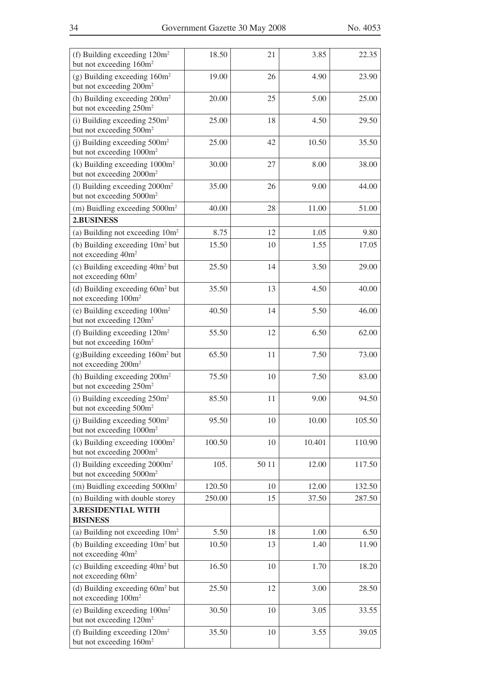| (f) Building exceeding 120m <sup>2</sup><br>but not exceeding 160m <sup>2</sup>   | 18.50  | 21    | 3.85   | 22.35  |
|-----------------------------------------------------------------------------------|--------|-------|--------|--------|
| $(g)$ Building exceeding $160m^2$<br>but not exceeding 200m <sup>2</sup>          | 19.00  | 26    | 4.90   | 23.90  |
| (h) Building exceeding 200m <sup>2</sup><br>but not exceeding 250m <sup>2</sup>   | 20.00  | 25    | 5.00   | 25.00  |
| (i) Building exceeding $250m^2$<br>but not exceeding 500m <sup>2</sup>            | 25.00  | 18    | 4.50   | 29.50  |
| (j) Building exceeding $500m^2$<br>but not exceeding 1000m <sup>2</sup>           | 25.00  | 42    | 10.50  | 35.50  |
| (k) Building exceeding $1000m^2$<br>but not exceeding 2000m <sup>2</sup>          | 30.00  | 27    | 8.00   | 38.00  |
| (1) Building exceeding 2000m <sup>2</sup><br>but not exceeding 5000m <sup>2</sup> | 35.00  | 26    | 9.00   | 44.00  |
| $(m)$ Buidling exceeding $5000m^2$                                                | 40.00  | 28    | 11.00  | 51.00  |
| 2.BUSINESS                                                                        |        |       |        |        |
| (a) Building not exceeding $10m^2$                                                | 8.75   | 12    | 1.05   | 9.80   |
| (b) Building exceeding 10m <sup>2</sup> but<br>not exceeding 40m <sup>2</sup>     | 15.50  | 10    | 1.55   | 17.05  |
| (c) Building exceeding 40m <sup>2</sup> but<br>not exceeding 60m <sup>2</sup>     | 25.50  | 14    | 3.50   | 29.00  |
| (d) Building exceeding $60m^2$ but<br>not exceeding 100m <sup>2</sup>             | 35.50  | 13    | 4.50   | 40.00  |
| (e) Building exceeding $100m^2$<br>but not exceeding 120m <sup>2</sup>            | 40.50  | 14    | 5.50   | 46.00  |
| (f) Building exceeding $120m^2$<br>but not exceeding 160m <sup>2</sup>            | 55.50  | 12    | 6.50   | 62.00  |
| $(g)$ Building exceeding 160 $m2$ but<br>not exceeding 200m <sup>2</sup>          | 65.50  | 11    | 7.50   | 73.00  |
| (h) Building exceeding 200m <sup>2</sup><br>but not exceeding 250m <sup>2</sup>   | 75.50  | 10    | 7.50   | 83.00  |
| (i) Building exceeding $250m^2$<br>but not exceeding 500m <sup>2</sup>            | 85.50  | 11    | 9.00   | 94.50  |
| (j) Building exceeding 500m <sup>2</sup><br>but not exceeding 1000m <sup>2</sup>  | 95.50  | 10    | 10.00  | 105.50 |
| $(k)$ Building exceeding $1000m^2$<br>but not exceeding 2000m <sup>2</sup>        | 100.50 | 10    | 10.401 | 110.90 |
| (1) Building exceeding $2000m^2$<br>but not exceeding 5000m <sup>2</sup>          | 105.   | 50 11 | 12.00  | 117.50 |
| $(m)$ Buidling exceeding $5000m^2$                                                | 120.50 | 10    | 12.00  | 132.50 |
| (n) Building with double storey                                                   | 250.00 | 15    | 37.50  | 287.50 |
| <b>3.RESIDENTIAL WITH</b><br><b>BISINESS</b>                                      |        |       |        |        |
| (a) Building not exceeding $10m^2$                                                | 5.50   | 18    | 1.00   | 6.50   |
| (b) Building exceeding 10m <sup>2</sup> but<br>not exceeding 40m <sup>2</sup>     | 10.50  | 13    | 1.40   | 11.90  |
| (c) Building exceeding 40m <sup>2</sup> but<br>not exceeding 60m <sup>2</sup>     | 16.50  | 10    | 1.70   | 18.20  |
| (d) Building exceeding $60m^2$ but<br>not exceeding 100m <sup>2</sup>             | 25.50  | 12    | 3.00   | 28.50  |
| (e) Building exceeding $100m^2$<br>but not exceeding 120m <sup>2</sup>            | 30.50  | 10    | 3.05   | 33.55  |
| (f) Building exceeding $120m^2$<br>but not exceeding 160m <sup>2</sup>            | 35.50  | 10    | 3.55   | 39.05  |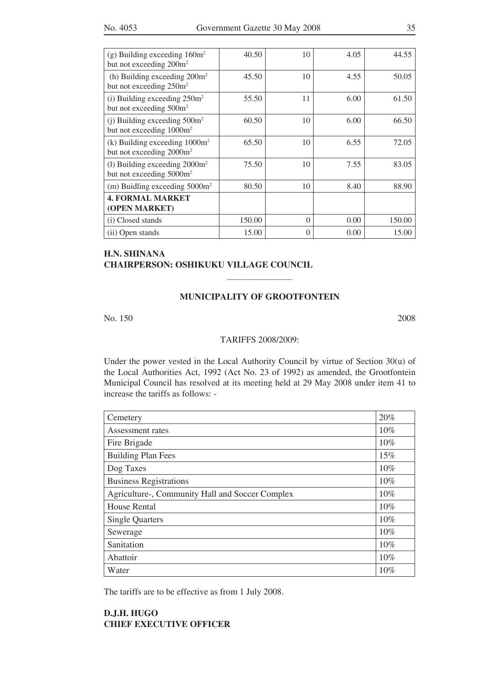| (g) Building exceeding $160m^2$<br>but not exceeding 200m <sup>2</sup>   | 40.50  | 10       | 4.05 | 44.55  |
|--------------------------------------------------------------------------|--------|----------|------|--------|
| (h) Building exceeding $200m^2$<br>but not exceeding 250m <sup>2</sup>   | 45.50  | 10       | 4.55 | 50.05  |
| (i) Building exceeding $250m^2$<br>but not exceeding 500m <sup>2</sup>   | 55.50  | 11       | 6.00 | 61.50  |
| (j) Building exceeding $500m^2$<br>but not exceeding $1000m^2$           | 60.50  | 10       | 6.00 | 66.50  |
| (k) Building exceeding $1000m^2$<br>but not exceeding 2000m <sup>2</sup> | 65.50  | 10       | 6.55 | 72.05  |
| (1) Building exceeding $2000m^2$<br>but not exceeding 5000m <sup>2</sup> | 75.50  | 10       | 7.55 | 83.05  |
| (m) Buidling exceeding $5000m^2$                                         | 80.50  | 10       | 8.40 | 88.90  |
| <b>4. FORMAL MARKET</b><br>(OPEN MARKET)                                 |        |          |      |        |
| (i) Closed stands                                                        | 150.00 | $\Omega$ | 0.00 | 150.00 |
| (ii) Open stands                                                         | 15.00  | $\Omega$ | 0.00 | 15.00  |

## **H.n. shinana chairperson: oshikuku village council**

#### **municipality of grootfontein**

 $\frac{1}{2}$ 

No. 150 2008

#### TARIFFS 2008/2009:

Under the power vested in the Local Authority Council by virtue of Section 30(u) of the Local Authorities Act, 1992 (Act No. 23 of 1992) as amended, the Grootfontein Municipal Council has resolved at its meeting held at 29 May 2008 under item 41 to increase the tariffs as follows: -

| Cemetery                                        | 20% |
|-------------------------------------------------|-----|
| Assessment rates                                | 10% |
| Fire Brigade                                    | 10% |
| <b>Building Plan Fees</b>                       | 15% |
| Dog Taxes                                       | 10% |
| <b>Business Registrations</b>                   | 10% |
| Agriculture-, Community Hall and Soccer Complex | 10% |
| <b>House Rental</b>                             | 10% |
| <b>Single Quarters</b>                          | 10% |
| Sewerage                                        | 10% |
| Sanitation                                      | 10% |
| Abattoir                                        | 10% |
| Water                                           | 10% |

The tariffs are to be effective as from 1 July 2008.

## **D.J.H. Hugo CHIEF EXECUTIVE OFFICER**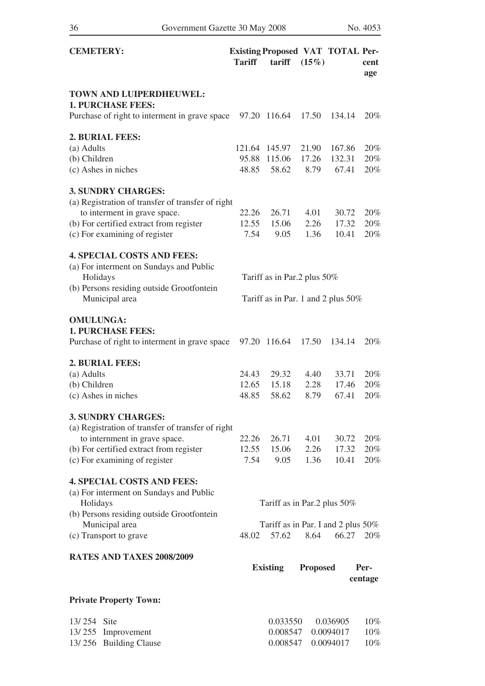| <b>CEMETERY:</b>                                                         | <b>Tariff</b>  | <b>Existing Proposed VAT TOTAL Per-</b><br>tariff | $(15\%)$        |                | cent<br>age |
|--------------------------------------------------------------------------|----------------|---------------------------------------------------|-----------------|----------------|-------------|
| TOWN AND LUIPERDHEUWEL:<br><b>1. PURCHASE FEES:</b>                      |                |                                                   |                 |                |             |
| Purchase of right to interment in grave space                            |                | 97.20 116.64                                      | 17.50           | 134.14         | 20%         |
| 2. BURIAL FEES:                                                          |                |                                                   |                 |                |             |
| (a) Adults                                                               |                | 121.64 145.97                                     | 21.90           | 167.86         | 20%         |
| (b) Children                                                             | 95.88          | 115.06                                            | 17.26           | 132.31         | 20%         |
| (c) Ashes in niches                                                      | 48.85          | 58.62                                             | 8.79            | 67.41          | 20%         |
| <b>3. SUNDRY CHARGES:</b>                                                |                |                                                   |                 |                |             |
| (a) Registration of transfer of transfer of right                        |                |                                                   |                 |                |             |
| to interment in grave space.                                             | 22.26          | 26.71                                             | 4.01            | 30.72          | 20%         |
| (b) For certified extract from register                                  | 12.55          | 15.06                                             | 2.26            | 17.32          | 20%         |
| (c) For examining of register                                            | 7.54           | 9.05                                              | 1.36            | 10.41          | 20%         |
| <b>4. SPECIAL COSTS AND FEES:</b>                                        |                |                                                   |                 |                |             |
| (a) For interment on Sundays and Public                                  |                |                                                   |                 |                |             |
| Holidays                                                                 |                | Tariff as in Par.2 plus 50%                       |                 |                |             |
| (b) Persons residing outside Grootfontein                                |                |                                                   |                 |                |             |
| Municipal area                                                           |                | Tariff as in Par. 1 and 2 plus $50\%$             |                 |                |             |
| <b>OMULUNGA:</b><br><b>1. PURCHASE FEES:</b>                             |                |                                                   |                 |                |             |
| Purchase of right to interment in grave space                            | 97.20          | 116.64                                            | 17.50           | 134.14         | 20%         |
|                                                                          |                |                                                   |                 |                |             |
| 2. BURIAL FEES:<br>(a) Adults                                            | 24.43          | 29.32                                             | 4.40            | 33.71          | 20%         |
| (b) Children                                                             | 12.65          | 15.18                                             | 2.28            | 17.46          | 20%         |
| (c) Ashes in niches                                                      | 48.85          | 58.62                                             | 8.79            | 67.41          | 20%         |
|                                                                          |                |                                                   |                 |                |             |
| <b>3. SUNDRY CHARGES:</b>                                                |                |                                                   |                 |                |             |
| (a) Registration of transfer of transfer of right                        |                |                                                   |                 |                |             |
| to internment in grave space.                                            | 22.26<br>12.55 | 26.71<br>15.06                                    | 4.01<br>2.26    | 30.72<br>17.32 | 20%<br>20%  |
| (b) For certified extract from register<br>(c) For examining of register | 7.54           | 9.05                                              | 1.36            | 10.41          | 20%         |
|                                                                          |                |                                                   |                 |                |             |
| <b>4. SPECIAL COSTS AND FEES:</b>                                        |                |                                                   |                 |                |             |
| (a) For interment on Sundays and Public                                  |                |                                                   |                 |                |             |
| Holidays                                                                 |                | Tariff as in Par.2 plus 50%                       |                 |                |             |
| (b) Persons residing outside Grootfontein                                |                |                                                   |                 |                |             |
| Municipal area<br>(c) Transport to grave                                 | 48.02          | Tariff as in Par. I and 2 plus 50%<br>57.62       | 8.64            | 66.27          | 20%         |
|                                                                          |                |                                                   |                 |                |             |
| RATES AND TAXES 2008/2009                                                |                |                                                   |                 |                |             |
|                                                                          |                | <b>Existing</b>                                   | <b>Proposed</b> |                | Per-        |
|                                                                          |                |                                                   |                 |                | centage     |
| <b>Private Property Town:</b>                                            |                |                                                   |                 |                |             |
| 13/254 Site                                                              |                | 0.033550                                          |                 | 0.036905       | $10\%$      |
| 13/255<br>Improvement                                                    |                | 0.008547                                          |                 | 0.0094017      | 10%         |

13/ 256 Building Clause 0.008547 0.0094017 10%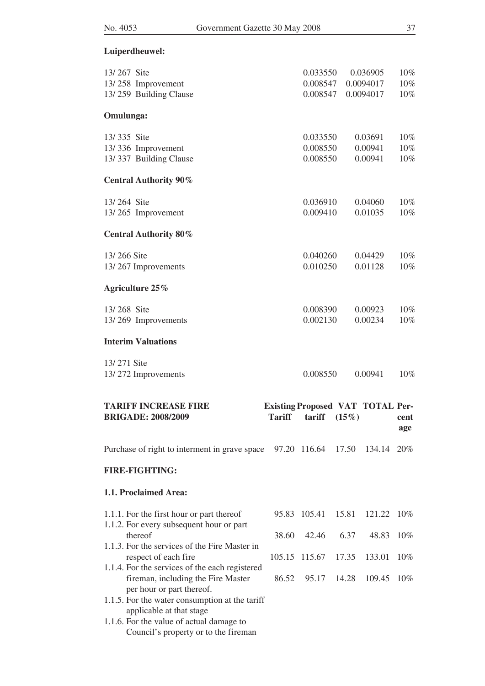## **Luiperdheuwel:**

| 13/267 Site<br>13/258 Improvement<br>13/259 Building Clause                                                                                                    |               | 0.033550<br>0.008547<br>0.008547                  |                | 0.036905<br>0.0094017<br>0.0094017 | 10%<br>10%<br>10% |
|----------------------------------------------------------------------------------------------------------------------------------------------------------------|---------------|---------------------------------------------------|----------------|------------------------------------|-------------------|
| Omulunga:                                                                                                                                                      |               |                                                   |                |                                    |                   |
| 13/335 Site<br>13/336 Improvement<br>13/337 Building Clause                                                                                                    |               | 0.033550<br>0.008550<br>0.008550                  |                | 0.03691<br>0.00941<br>0.00941      | 10%<br>10%<br>10% |
| <b>Central Authority 90%</b>                                                                                                                                   |               |                                                   |                |                                    |                   |
| 13/264 Site<br>13/265 Improvement                                                                                                                              |               | 0.036910<br>0.009410                              |                | 0.04060<br>0.01035                 | 10%<br>10%        |
| <b>Central Authority 80%</b>                                                                                                                                   |               |                                                   |                |                                    |                   |
| 13/266 Site<br>13/267 Improvements                                                                                                                             |               | 0.040260<br>0.010250                              |                | 0.04429<br>0.01128                 | 10%<br>10%        |
| Agriculture 25%                                                                                                                                                |               |                                                   |                |                                    |                   |
| 13/268 Site<br>13/269 Improvements                                                                                                                             |               | 0.008390<br>0.002130                              |                | 0.00923<br>0.00234                 | 10%<br>10%        |
| <b>Interim Valuations</b>                                                                                                                                      |               |                                                   |                |                                    |                   |
| 13/271 Site<br>13/272 Improvements                                                                                                                             |               | 0.008550                                          |                | 0.00941                            | $10\%$            |
| <b>TARIFF INCREASE FIRE</b><br><b>BRIGADE: 2008/2009</b>                                                                                                       | <b>Tariff</b> | <b>Existing Proposed VAT TOTAL Per-</b><br>tariff | (15%)          |                                    | cent<br>age       |
| Purchase of right to interment in grave space                                                                                                                  |               | 97.20 116.64                                      | 17.50          | 134.14                             | 20%               |
| <b>FIRE-FIGHTING:</b>                                                                                                                                          |               |                                                   |                |                                    |                   |
| 1.1. Proclaimed Area:                                                                                                                                          |               |                                                   |                |                                    |                   |
| 1.1.1. For the first hour or part thereof<br>1.1.2. For every subsequent hour or part                                                                          |               | 95.83 105.41                                      | 15.81          | 121.22                             | $10\%$            |
| thereof<br>1.1.3. For the services of the Fire Master in                                                                                                       | 38.60         | 42.46                                             | 6.37           | 48.83                              | 10%               |
| respect of each fire<br>1.1.4. For the services of the each registered<br>fireman, including the Fire Master<br>per hour or part thereof.                      | 86.52         | 105.15 115.67<br>95.17                            | 17.35<br>14.28 | 133.01<br>109.45                   | $10\%$<br>$10\%$  |
| 1.1.5. For the water consumption at the tariff<br>applicable at that stage<br>1.1.6. For the value of actual damage to<br>Council's property or to the fireman |               |                                                   |                |                                    |                   |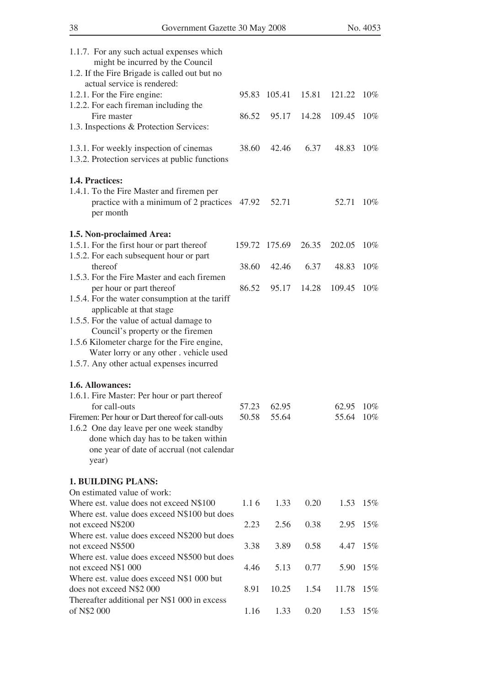| 1.1.7. For any such actual expenses which<br>might be incurred by the Council<br>1.2. If the Fire Brigade is called out but no<br>actual service is rendered:<br>1.2.1. For the Fire engine:<br>1.2.2. For each fireman including the<br>Fire master<br>1.3. Inspections & Protection Services:                                                    | 86.52 | 95.83 105.41 15.81<br>95.17 | 14.28 | 121.22 10\%<br>109.45 10% |                   |  |
|----------------------------------------------------------------------------------------------------------------------------------------------------------------------------------------------------------------------------------------------------------------------------------------------------------------------------------------------------|-------|-----------------------------|-------|---------------------------|-------------------|--|
| 1.3.1. For weekly inspection of cinemas<br>1.3.2. Protection services at public functions                                                                                                                                                                                                                                                          | 38.60 | 42.46                       | 6.37  | 48.83                     | $10\%$            |  |
| 1.4. Practices:<br>1.4.1. To the Fire Master and firemen per<br>practice with a minimum of 2 practices 47.92<br>per month                                                                                                                                                                                                                          |       | 52.71                       |       | 52.71 10%                 |                   |  |
| 1.5. Non-proclaimed Area:                                                                                                                                                                                                                                                                                                                          |       |                             |       |                           |                   |  |
| 1.5.1. For the first hour or part thereof<br>1.5.2. For each subsequent hour or part                                                                                                                                                                                                                                                               |       | 159.72 175.69               | 26.35 | 202.05                    | 10%               |  |
| thereof<br>1.5.3. For the Fire Master and each firemen                                                                                                                                                                                                                                                                                             | 38.60 | 42.46                       | 6.37  | 48.83                     | $10\%$            |  |
| per hour or part thereof<br>1.5.4. For the water consumption at the tariff<br>applicable at that stage<br>1.5.5. For the value of actual damage to<br>Council's property or the firemen<br>1.5.6 Kilometer charge for the Fire engine,<br>Water lorry or any other . vehicle used<br>1.5.7. Any other actual expenses incurred<br>1.6. Allowances: | 86.52 | 95.17                       | 14.28 | 109.45                    | $10\%$            |  |
| 1.6.1. Fire Master: Per hour or part thereof<br>for call-outs<br>Firemen: Per hour or Dart thereof for call-outs<br>1.6.2 One day leave per one week standby<br>done which day has to be taken within<br>one year of date of accrual (not calendar<br>year)                                                                                        | 50.58 | 57.23 62.95<br>55.64        |       | 62.95 10%<br>55.64 10%    |                   |  |
|                                                                                                                                                                                                                                                                                                                                                    |       |                             |       |                           |                   |  |
| <b>1. BUILDING PLANS:</b><br>On estimated value of work:<br>Where est. value does not exceed N\$100                                                                                                                                                                                                                                                | 1.16  | 1.33                        | 0.20  |                           | $1.53 \quad 15\%$ |  |
| Where est. value does exceed N\$100 but does<br>not exceed N\$200                                                                                                                                                                                                                                                                                  | 2.23  | 2.56                        | 0.38  | 2.95                      | $15\%$            |  |
| Where est. value does exceed N\$200 but does<br>not exceed N\$500                                                                                                                                                                                                                                                                                  | 3.38  | 3.89                        | 0.58  | 4.47                      | 15%               |  |
| Where est. value does exceed N\$500 but does<br>not exceed N\$1 000                                                                                                                                                                                                                                                                                | 4.46  | 5.13                        | 0.77  |                           | 5.90 15%          |  |
| Where est. value does exceed N\$1 000 but<br>does not exceed N\$2 000                                                                                                                                                                                                                                                                              | 8.91  | 10.25                       | 1.54  | 11.78 15%                 |                   |  |
| Thereafter additional per N\$1 000 in excess<br>of N\$2 000                                                                                                                                                                                                                                                                                        | 1.16  | 1.33                        | 0.20  | 1.53                      | 15%               |  |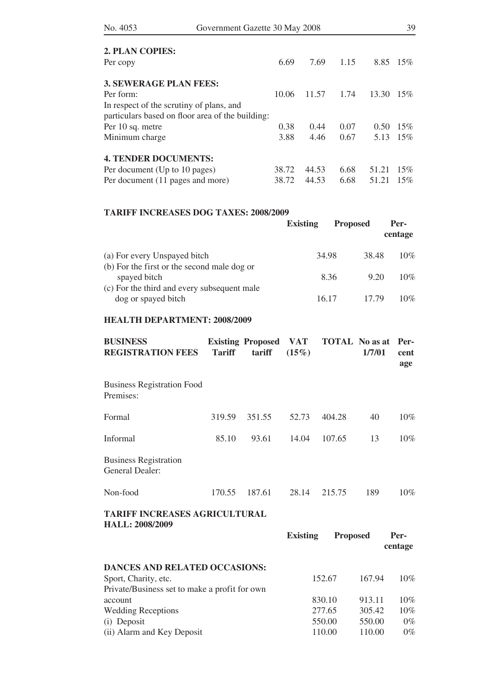| No. 4053                                         | Government Gazette 30 May 2008 |       |       |      |       | 39  |  |
|--------------------------------------------------|--------------------------------|-------|-------|------|-------|-----|--|
| 2. PLAN COPIES:                                  |                                |       |       |      |       |     |  |
| Per copy                                         |                                | 6.69  | 7.69  | 1.15 | 8.85  | 15% |  |
| <b>3. SEWERAGE PLAN FEES:</b>                    |                                |       |       |      |       |     |  |
| Per form:                                        |                                | 10.06 | 11.57 | 1.74 | 13.30 | 15% |  |
| In respect of the scrutiny of plans, and         |                                |       |       |      |       |     |  |
| particulars based on floor area of the building: |                                |       |       |      |       |     |  |
| Per 10 sq. metre                                 |                                | 0.38  | 0.44  | 0.07 | 0.50  | 15% |  |
| Minimum charge                                   |                                | 3.88  | 4.46  | 0.67 | 5.13  | 15% |  |
| <b>4. TENDER DOCUMENTS:</b>                      |                                |       |       |      |       |     |  |
| Per document (Up to 10 pages)                    |                                | 38.72 | 44.53 | 6.68 | 51.21 | 15% |  |
| Per document (11 pages and more)                 |                                | 38.72 | 44.53 | 6.68 | 51.21 | 15% |  |

## **TARIFF INCREASES DOG TAXES: 2008/2009**

|                                             | <b>Existing</b> | <b>Proposed</b> |       | Per-<br>centage |
|---------------------------------------------|-----------------|-----------------|-------|-----------------|
| (a) For every Unspayed bitch                |                 | 34.98           | 38.48 | 10%             |
| (b) For the first or the second male dog or |                 |                 |       |                 |
| spayed bitch                                |                 | 8.36            | 9.20  | 10%             |
| (c) For the third and every subsequent male |                 |                 |       |                 |
| dog or spayed bitch                         |                 | 16.17           | 17.79 | $10\%$          |

## **HEALTH DEPARTMENT: 2008/2009**

| <b>BUSINESS</b><br><b>REGISTRATION FEES</b>                    | <b>Tariff</b>   | <b>Existing Proposed</b><br>tariff | VAT<br>$(15\%)$ | <b>TOTAL</b> No as at | 1/7/01 | Per-<br>cent<br>age |
|----------------------------------------------------------------|-----------------|------------------------------------|-----------------|-----------------------|--------|---------------------|
| <b>Business Registration Food</b><br>Premises:                 |                 |                                    |                 |                       |        |                     |
| Formal                                                         | 319.59          | 351.55                             | 52.73           | 404.28                | 40     | $10\%$              |
| Informal                                                       | 85.10           | 93.61                              | 14.04           | 107.65                | 13     | 10%                 |
| <b>Business Registration</b><br><b>General Dealer:</b>         |                 |                                    |                 |                       |        |                     |
| Non-food                                                       | 170.55          | 187.61                             | 28.14           | 215.75                | 189    | $10\%$              |
| <b>TARIFF INCREASES AGRICULTURAL</b><br><b>HALL: 2008/2009</b> | <b>Existing</b> | <b>Proposed</b>                    |                 | Per-<br>centage       |        |                     |
| <b>DANCES AND RELATED OCCASIONS:</b>                           |                 |                                    |                 |                       |        |                     |
| Sport, Charity, etc.                                           |                 |                                    |                 | 152.67                | 167.94 | $10\%$              |
| Private/Business set to make a profit for own<br>account       |                 |                                    |                 | 830.10                | 913.11 | 10%                 |
| <b>Wedding Receptions</b>                                      |                 |                                    |                 | 277.65                | 305.42 | $10\%$              |
| (i) Deposit                                                    |                 |                                    |                 | 550.00                | 550.00 | $0\%$               |

(ii) Alarm and Key Deposit  $110.00$   $110.00$   $0\%$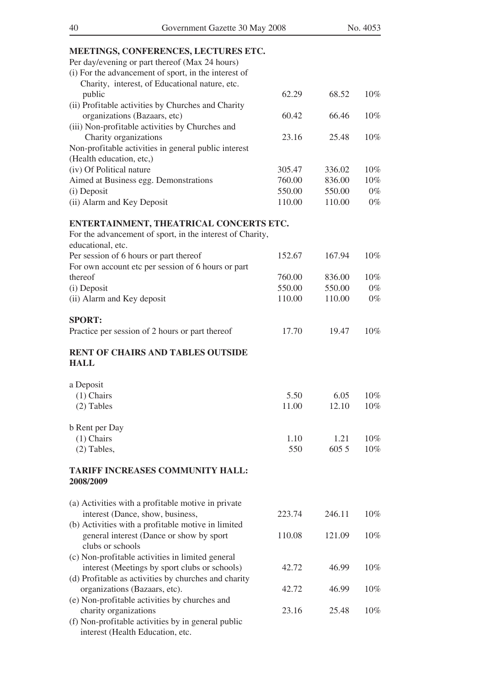## **MEETINGS, CONFERENCES, LECTURES ETC.**

| MEETINGS, CONFERENCES, LECTURES ETC.                      |        |        |        |
|-----------------------------------------------------------|--------|--------|--------|
| Per day/evening or part thereof (Max 24 hours)            |        |        |        |
| (i) For the advancement of sport, in the interest of      |        |        |        |
| Charity, interest, of Educational nature, etc.            |        |        |        |
| public                                                    | 62.29  | 68.52  | 10%    |
| (ii) Profitable activities by Churches and Charity        |        |        |        |
| organizations (Bazaars, etc)                              | 60.42  | 66.46  | $10\%$ |
| (iii) Non-profitable activities by Churches and           |        |        |        |
| Charity organizations                                     | 23.16  | 25.48  | 10%    |
| Non-profitable activities in general public interest      |        |        |        |
| (Health education, etc,)                                  |        |        |        |
| (iv) Of Political nature                                  | 305.47 | 336.02 | 10%    |
| Aimed at Business egg. Demonstrations                     | 760.00 | 836.00 | 10%    |
| (i) Deposit                                               | 550.00 | 550.00 | $0\%$  |
| (ii) Alarm and Key Deposit                                | 110.00 | 110.00 | $0\%$  |
|                                                           |        |        |        |
| ENTERTAINMENT, THEATRICAL CONCERTS ETC.                   |        |        |        |
| For the advancement of sport, in the interest of Charity, |        |        |        |
| educational, etc.                                         |        |        |        |
| Per session of 6 hours or part thereof                    | 152.67 | 167.94 | 10%    |
| For own account etc per session of 6 hours or part        |        |        |        |
| thereof                                                   | 760.00 | 836.00 | 10%    |
| (i) Deposit                                               | 550.00 | 550.00 | $0\%$  |
| (ii) Alarm and Key deposit                                | 110.00 | 110.00 | $0\%$  |
|                                                           |        |        |        |
| <b>SPORT:</b>                                             |        |        |        |
| Practice per session of 2 hours or part thereof           | 17.70  | 19.47  | 10%    |
|                                                           |        |        |        |
| <b>RENT OF CHAIRS AND TABLES OUTSIDE</b>                  |        |        |        |
| <b>HALL</b>                                               |        |        |        |
|                                                           |        |        |        |
| a Deposit                                                 |        |        |        |
| $(1)$ Chairs                                              | 5.50   | 6.05   | 10%    |
| $(2)$ Tables                                              | 11.00  | 12.10  | 10%    |
|                                                           |        |        |        |
| <b>b</b> Rent per Day                                     |        |        |        |
| $(1)$ Chairs                                              | 1.10   | 1.21   | 10%    |
|                                                           | 550    | 605 5  | 10%    |
| $(2)$ Tables,                                             |        |        |        |
| <b>TARIFF INCREASES COMMUNITY HALL:</b>                   |        |        |        |
| 2008/2009                                                 |        |        |        |
|                                                           |        |        |        |
|                                                           |        |        |        |
| (a) Activities with a profitable motive in private        |        |        |        |
| interest (Dance, show, business,                          | 223.74 | 246.11 | $10\%$ |
| (b) Activities with a profitable motive in limited        |        |        |        |
| general interest (Dance or show by sport                  | 110.08 | 121.09 | $10\%$ |
| clubs or schools                                          |        |        |        |
| (c) Non-profitable activities in limited general          |        |        |        |
| interest (Meetings by sport clubs or schools)             | 42.72  | 46.99  | $10\%$ |
| (d) Profitable as activities by churches and charity      |        |        |        |
| organizations (Bazaars, etc).                             | 42.72  | 46.99  | $10\%$ |
| (e) Non-profitable activities by churches and             |        |        |        |
| charity organizations                                     | 23.16  | 25.48  | 10%    |

(f) Non-profitable activities by in general public interest (Health Education, etc.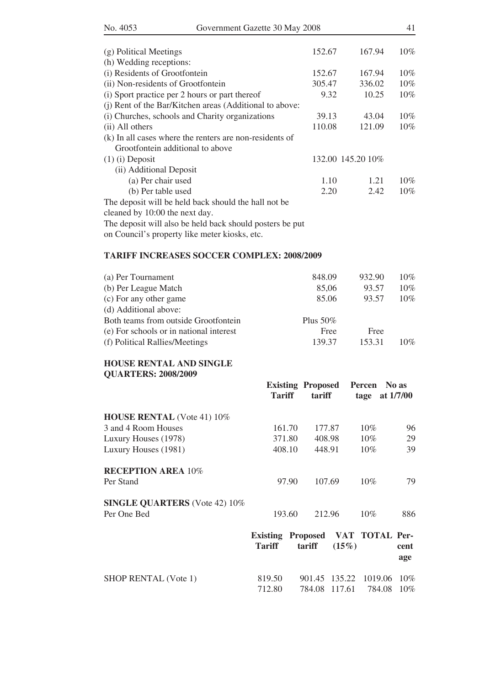| (g) Political Meetings                                   | 152.67 | 167.94            | 10% |
|----------------------------------------------------------|--------|-------------------|-----|
| (h) Wedding receptions:                                  |        |                   |     |
| (i) Residents of Grootfontein                            | 152.67 | 167.94            | 10% |
| (ii) Non-residents of Grootfontein                       | 305.47 | 336.02            | 10% |
| (i) Sport practice per 2 hours or part thereof           | 9.32   | 10.25             | 10% |
| (j) Rent of the Bar/Kitchen areas (Additional to above:  |        |                   |     |
| (i) Churches, schools and Charity organizations          | 39.13  | 43.04             | 10% |
| (ii) All others                                          | 110.08 | 121.09            | 10% |
| (k) In all cases where the renters are non-residents of  |        |                   |     |
| Grootfontein additional to above                         |        |                   |     |
| $(1)$ (i) Deposit                                        |        | 132.00 145.20 10% |     |
| (ii) Additional Deposit                                  |        |                   |     |
| (a) Per chair used                                       | 1.10   | 1.21              | 10% |
| (b) Per table used                                       | 2.20   | 2.42              | 10% |
| The deposit will be held back should the hall not be     |        |                   |     |
| cleaned by 10:00 the next day.                           |        |                   |     |
| The deposit will also be held back should posters be put |        |                   |     |

on Council's property like meter kiosks, etc.

#### **TARIFF INCREASES SOCCER COMPLEX: 2008/2009**

| (a) Per Tournament                      | 848.09      | 932.90 | $10\%$ |
|-----------------------------------------|-------------|--------|--------|
| (b) Per League Match                    | 85,06       | 93.57  | $10\%$ |
| (c) For any other game                  | 85.06       | 93.57  | $10\%$ |
| (d) Additional above:                   |             |        |        |
| Both teams from outside Grootfontein    | Plus $50\%$ |        |        |
| (e) For schools or in national interest | Free        | Free   |        |
| (f) Political Rallies/Meetings          | 139.37      | 153.31 | $10\%$ |
|                                         |             |        |        |

## **HOUSE RENTAL AND SINGLE QUARTERS: 2008/2009**

|                                      | <b>Tariff</b>                                     | <b>Existing Proposed</b><br>tariff       | Percen No as<br>tage at $1/7/00$ |             |
|--------------------------------------|---------------------------------------------------|------------------------------------------|----------------------------------|-------------|
| <b>HOUSE RENTAL</b> (Vote 41) 10%    |                                                   |                                          |                                  |             |
| 3 and 4 Room Houses                  | 161.70                                            | 177.87                                   | $10\%$                           | 96          |
| Luxury Houses (1978)                 | 371.80                                            | 408.98                                   | $10\%$                           | 29          |
| Luxury Houses (1981)                 | 408.10                                            | 448.91                                   | $10\%$                           | 39          |
| <b>RECEPTION AREA 10%</b>            |                                                   |                                          |                                  |             |
| Per Stand                            | 97.90                                             | 107.69                                   | 10%                              | 79          |
| <b>SINGLE QUARTERS</b> (Vote 42) 10% |                                                   |                                          |                                  |             |
| Per One Bed                          | 193.60                                            | 212.96                                   | 10%                              | 886         |
|                                      | Existing Proposed VAT TOTAL Per-<br><b>Tariff</b> | tariff<br>$(15\%)$                       |                                  | cent<br>age |
| $\overline{C}$                       | 0.10 <sub>50</sub>                                | $0.01 \t 17 \t 107.00 \t 1010.00 \t 100$ |                                  |             |

| <b>SHOP RENTAL (Vote 1)</b> | 819.50 |  | 901.45 135.22 1019.06 10% |  |
|-----------------------------|--------|--|---------------------------|--|
|                             | 712.80 |  | 784.08 117.61 784.08 10%  |  |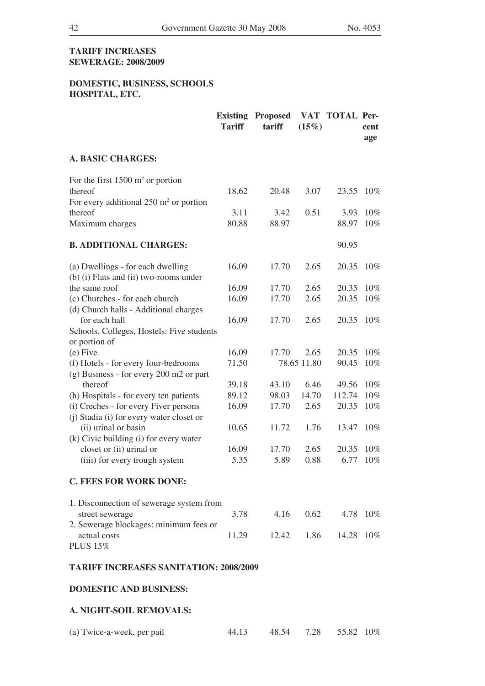## **TARIFF INCREASES SEWERAGE: 2008/2009**

## **DOMESTIC, BUSINESS, SCHOOLS HOSPITAL, ETC.**

|                                                   | <b>Existing</b><br><b>Tariff</b> | <b>Proposed</b><br>tariff | (15%)       | VAT TOTAL Per- | cent<br>age |
|---------------------------------------------------|----------------------------------|---------------------------|-------------|----------------|-------------|
| <b>A. BASIC CHARGES:</b>                          |                                  |                           |             |                |             |
| For the first $1500 \text{ m}^2$ or portion       |                                  |                           |             |                |             |
| thereof                                           | 18.62                            | 20.48                     | 3.07        | 23.55          | $10\%$      |
| For every additional $250 \text{ m}^2$ or portion |                                  |                           |             |                |             |
| thereof                                           | 3.11                             | 3.42                      | 0.51        | 3.93           | 10%         |
| Maximum charges                                   | 80.88                            | 88.97                     |             | 88.97          | 10%         |
| <b>B. ADDITIONAL CHARGES:</b>                     |                                  |                           |             | 90.95          |             |
| (a) Dwellings - for each dwelling                 | 16.09                            | 17.70                     | 2.65        | 20.35          | $10\%$      |
| (b) (i) Flats and (ii) two-rooms under            |                                  |                           |             |                |             |
| the same roof                                     | 16.09                            | 17.70                     | 2.65        | 20.35          | 10%         |
| (c) Churches - for each church                    | 16.09                            | 17.70                     | 2.65        | 20.35          | 10%         |
| (d) Church halls - Additional charges             |                                  |                           |             |                |             |
| for each hall                                     | 16.09                            | 17.70                     | 2.65        | 20.35          | 10%         |
| Schools, Colleges, Hostels: Five students         |                                  |                           |             |                |             |
| or portion of                                     |                                  |                           |             |                |             |
| $(e)$ Five                                        | 16.09                            | 17.70                     | 2.65        | 20.35          | 10%         |
| (f) Hotels - for every four-bedrooms              | 71.50                            |                           | 78.65 11.80 | 90.45          | 10%         |
| (g) Business - for every 200 m2 or part           |                                  |                           |             |                |             |
| thereof                                           | 39.18                            | 43.10                     | 6.46        | 49.56          | 10%         |
| (h) Hospitals - for every ten patients            | 89.12                            | 98.03                     | 14.70       | 112.74         | 10%         |
| (i) Creches - for every Fiver persons             | 16.09                            | 17.70                     | 2.65        | 20.35          | 10%         |
| (j) Stadia (i) for every water closet or          |                                  |                           |             |                |             |
| (ii) urinal or basin                              | 10.65                            | 11.72                     | 1.76        | 13.47          | 10%         |
| (k) Civic building (i) for every water            |                                  |                           |             |                |             |
| closet or (ii) urinal or                          | 16.09                            | 17.70                     | 2.65        | 20.35          | 10%         |
| (iiii) for every trough system                    | 5.35                             | 5.89                      | 0.88        | 6.77           | 10%         |
| <b>C. FEES FOR WORK DONE:</b>                     |                                  |                           |             |                |             |
| 1. Disconnection of sewerage system from          |                                  |                           |             |                |             |
| street sewerage                                   | 3.78                             | 4.16                      | 0.62        |                | 4.78 10%    |
| 2. Sewerage blockages: minimum fees or            |                                  |                           |             |                |             |
| actual costs                                      | 11.29                            | 12.42                     | 1.86        | 14.28          | $10\%$      |
| <b>PLUS 15%</b>                                   |                                  |                           |             |                |             |
| <b>TARIFF INCREASES SANITATION: 2008/2009</b>     |                                  |                           |             |                |             |

## **DOMESTIC AND BUSINESS:**

## **A. NIGHT-SOIL REMOVALS:**

| (a) Twice-a-week, per pail | 44.13 |  |  | 48.54 7.28 55.82 10% |  |
|----------------------------|-------|--|--|----------------------|--|
|----------------------------|-------|--|--|----------------------|--|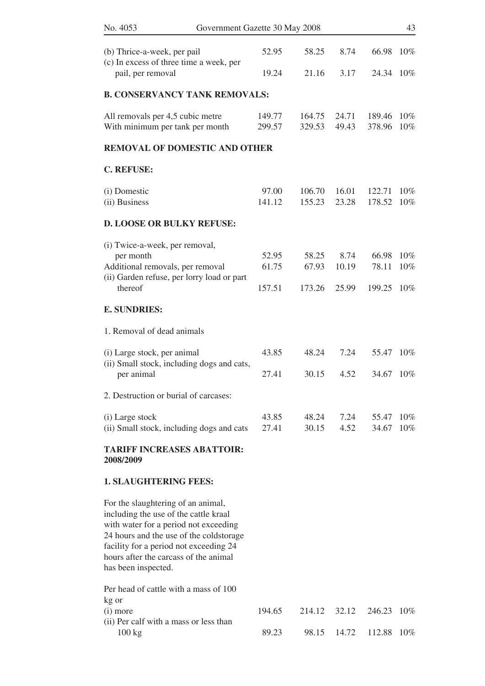| No. 4053                                                                                                                                                                                                                                                                  | Government Gazette 30 May 2008 |                  |                  |                |                  | 43               |
|---------------------------------------------------------------------------------------------------------------------------------------------------------------------------------------------------------------------------------------------------------------------------|--------------------------------|------------------|------------------|----------------|------------------|------------------|
| (b) Thrice-a-week, per pail<br>(c) In excess of three time a week, per                                                                                                                                                                                                    |                                | 52.95            | 58.25            | 8.74           | 66.98            | $10\%$           |
| pail, per removal                                                                                                                                                                                                                                                         |                                | 19.24            | 21.16            | 3.17           | 24.34            | $10\%$           |
| <b>B. CONSERVANCY TANK REMOVALS:</b>                                                                                                                                                                                                                                      |                                |                  |                  |                |                  |                  |
| All removals per 4,5 cubic metre<br>With minimum per tank per month                                                                                                                                                                                                       |                                | 149.77<br>299.57 | 164.75<br>329.53 | 24.71<br>49.43 | 189.46<br>378.96 | 10%<br>10%       |
| <b>REMOVAL OF DOMESTIC AND OTHER</b>                                                                                                                                                                                                                                      |                                |                  |                  |                |                  |                  |
| <b>C. REFUSE:</b>                                                                                                                                                                                                                                                         |                                |                  |                  |                |                  |                  |
| (i) Domestic<br>(ii) Business                                                                                                                                                                                                                                             |                                | 97.00<br>141.12  | 106.70<br>155.23 | 16.01<br>23.28 | 122.71<br>178.52 | 10%<br>10%       |
| <b>D. LOOSE OR BULKY REFUSE:</b>                                                                                                                                                                                                                                          |                                |                  |                  |                |                  |                  |
| (i) Twice-a-week, per removal,<br>per month<br>Additional removals, per removal                                                                                                                                                                                           |                                | 52.95<br>61.75   | 58.25<br>67.93   | 8.74<br>10.19  | 66.98<br>78.11   | 10%<br>10%       |
| (ii) Garden refuse, per lorry load or part<br>thereof                                                                                                                                                                                                                     |                                | 157.51           | 173.26           | 25.99          | 199.25           | 10%              |
| <b>E. SUNDRIES:</b>                                                                                                                                                                                                                                                       |                                |                  |                  |                |                  |                  |
| 1. Removal of dead animals                                                                                                                                                                                                                                                |                                |                  |                  |                |                  |                  |
| (i) Large stock, per animal<br>(ii) Small stock, including dogs and cats,                                                                                                                                                                                                 |                                | 43.85            | 48.24            | 7.24           | 55.47            | $10\%$           |
| per animal                                                                                                                                                                                                                                                                |                                | 27.41            | 30.15            | 4.52           | 34.67            | $10\%$           |
| 2. Destruction or burial of carcases:                                                                                                                                                                                                                                     |                                |                  |                  |                |                  |                  |
| (i) Large stock<br>(ii) Small stock, including dogs and cats                                                                                                                                                                                                              |                                | 43.85<br>27.41   | 48.24<br>30.15   | 7.24<br>4.52   | 55.47<br>34.67   | $10\%$<br>$10\%$ |
| <b>TARIFF INCREASES ABATTOIR:</b><br>2008/2009                                                                                                                                                                                                                            |                                |                  |                  |                |                  |                  |
| <b>1. SLAUGHTERING FEES:</b>                                                                                                                                                                                                                                              |                                |                  |                  |                |                  |                  |
| For the slaughtering of an animal,<br>including the use of the cattle kraal<br>with water for a period not exceeding<br>24 hours and the use of the coldstorage<br>facility for a period not exceeding 24<br>hours after the carcass of the animal<br>has been inspected. |                                |                  |                  |                |                  |                  |
| Per head of cattle with a mass of 100<br>kg or<br>(i) more                                                                                                                                                                                                                |                                | 194.65           | 214.12           | 32.12          | 246.23           | $10\%$           |
| (ii) Per calf with a mass or less than<br>100 kg                                                                                                                                                                                                                          |                                | 89.23            | 98.15            | 14.72          | 112.88           | $10\%$           |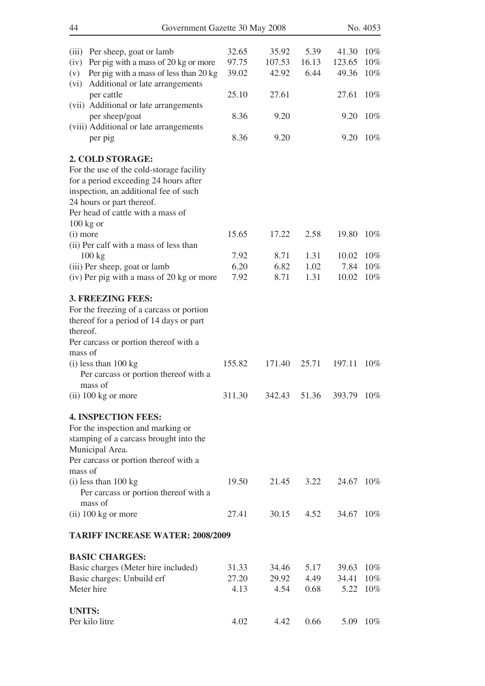| 44            | Government Gazette 30 May 2008                    |        |        |       |            | No. 4053 |
|---------------|---------------------------------------------------|--------|--------|-------|------------|----------|
|               |                                                   |        |        |       |            |          |
| (iii)         | Per sheep, goat or lamb                           | 32.65  | 35.92  | 5.39  | 41.30      | $10\%$   |
| (iv)          | Per pig with a mass of 20 kg or more              | 97.75  | 107.53 | 16.13 | 123.65     | 10%      |
| (v)           | Per pig with a mass of less than 20 kg            | 39.02  | 42.92  | 6.44  | 49.36      | 10%      |
| (vi)          | Additional or late arrangements                   |        |        |       |            |          |
|               | per cattle                                        | 25.10  | 27.61  |       | 27.61      | 10%      |
|               | (vii) Additional or late arrangements             |        |        |       |            |          |
|               | per sheep/goat                                    | 8.36   | 9.20   |       | 9.20       | $10\%$   |
|               | (viii) Additional or late arrangements<br>per pig | 8.36   | 9.20   |       | 9.20       | $10\%$   |
|               |                                                   |        |        |       |            |          |
|               | 2. COLD STORAGE:                                  |        |        |       |            |          |
|               | For the use of the cold-storage facility          |        |        |       |            |          |
|               | for a period exceeding 24 hours after             |        |        |       |            |          |
|               | inspection, an additional fee of such             |        |        |       |            |          |
|               | 24 hours or part thereof.                         |        |        |       |            |          |
|               | Per head of cattle with a mass of                 |        |        |       |            |          |
|               | $100$ kg or                                       |        |        |       |            |          |
| $(i)$ more    |                                                   | 15.65  | 17.22  | 2.58  | 19.80      | $10\%$   |
|               | (ii) Per calf with a mass of less than<br>100 kg  | 7.92   | 8.71   | 1.31  | 10.02      | $10\%$   |
|               | (iii) Per sheep, goat or lamb                     | 6.20   | 6.82   | 1.02  | 7.84       | 10%      |
|               | (iv) Per pig with a mass of 20 kg or more         | 7.92   | 8.71   | 1.31  | 10.02      | 10%      |
|               |                                                   |        |        |       |            |          |
|               | 3. FREEZING FEES:                                 |        |        |       |            |          |
|               | For the freezing of a carcass or portion          |        |        |       |            |          |
|               | thereof for a period of 14 days or part           |        |        |       |            |          |
| thereof.      |                                                   |        |        |       |            |          |
|               | Per carcass or portion thereof with a             |        |        |       |            |          |
| mass of       |                                                   |        |        |       |            |          |
|               | $(i)$ less than 100 kg                            | 155.82 | 171.40 | 25.71 | 197.11     | 10%      |
|               | Per carcass or portion thereof with a             |        |        |       |            |          |
|               | mass of<br>$(ii)$ 100 kg or more                  | 311.30 | 342.43 | 51.36 | 393.79     | $10\%$   |
|               |                                                   |        |        |       |            |          |
|               | <b>4. INSPECTION FEES:</b>                        |        |        |       |            |          |
|               | For the inspection and marking or                 |        |        |       |            |          |
|               | stamping of a carcass brought into the            |        |        |       |            |          |
|               | Municipal Area.                                   |        |        |       |            |          |
|               | Per carcass or portion thereof with a             |        |        |       |            |          |
| mass of       |                                                   |        |        |       |            |          |
|               | (i) less than 100 kg                              | 19.50  | 21.45  | 3.22  | 24.67 10\% |          |
|               | Per carcass or portion thereof with a             |        |        |       |            |          |
|               | mass of                                           | 27.41  | 30.15  | 4.52  | 34.67      | $10\%$   |
|               | $(ii)$ 100 kg or more                             |        |        |       |            |          |
|               | <b>TARIFF INCREASE WATER: 2008/2009</b>           |        |        |       |            |          |
|               | <b>BASIC CHARGES:</b>                             |        |        |       |            |          |
|               | Basic charges (Meter hire included)               | 31.33  | 34.46  | 5.17  | 39.63      | 10%      |
|               | Basic charges: Unbuild erf                        | 27.20  | 29.92  | 4.49  | 34.41      | 10%      |
|               | Meter hire                                        | 4.13   | 4.54   | 0.68  |            | 5.22 10% |
|               |                                                   |        |        |       |            |          |
| <b>UNITS:</b> |                                                   |        |        |       |            |          |
|               | Per kilo litre                                    | 4.02   | 4.42   | 0.66  | 5.09       | $10\%$   |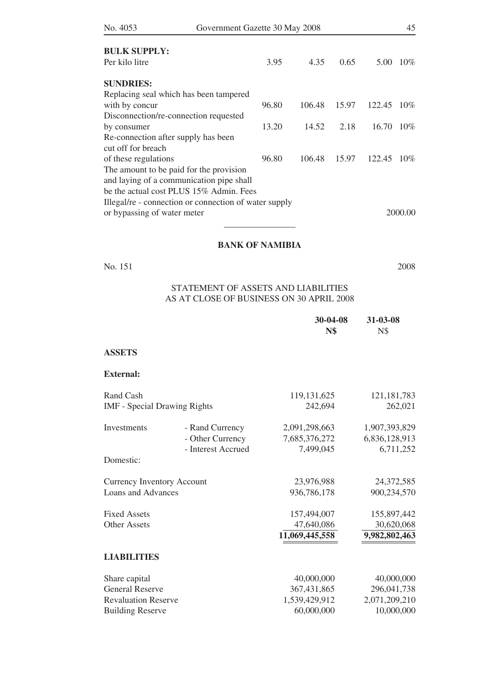| No. 4053                            | Government Gazette 30 May 2008                        |       |        |       | 45          |         |
|-------------------------------------|-------------------------------------------------------|-------|--------|-------|-------------|---------|
| <b>BULK SUPPLY:</b>                 |                                                       |       |        |       |             |         |
| Per kilo litre                      |                                                       | 3.95  | 4.35   | 0.65  | 5.00        | 10%     |
| <b>SUNDRIES:</b>                    |                                                       |       |        |       |             |         |
|                                     | Replacing seal which has been tampered                |       |        |       |             |         |
| with by concur                      |                                                       | 96.80 | 106.48 | 15.97 | 122.45      | 10%     |
|                                     | Disconnection/re-connection requested                 |       |        |       |             |         |
| by consumer                         |                                                       | 13.20 | 14.52  | 2.18  | 16.70       | 10%     |
| Re-connection after supply has been |                                                       |       |        |       |             |         |
| cut off for breach                  |                                                       |       |        |       |             |         |
| of these regulations                |                                                       | 96.80 | 106.48 | 15.97 | 122.45 10\% |         |
|                                     | The amount to be paid for the provision               |       |        |       |             |         |
|                                     | and laying of a communication pipe shall              |       |        |       |             |         |
|                                     | be the actual cost PLUS 15% Admin. Fees               |       |        |       |             |         |
|                                     | Illegal/re - connection or connection of water supply |       |        |       |             |         |
| or bypassing of water meter         |                                                       |       |        |       |             | 2000.00 |
|                                     |                                                       |       |        |       |             |         |

## **BANK OF NAMIBIA**

No. 151 2008

## STATEMENT OF ASSETS AND LIABILITIES As at close of business on 30 APRIL 2008

|                                     |                    | 30-04-08<br><b>N\$</b> | 31-03-08<br><b>N\$</b> |
|-------------------------------------|--------------------|------------------------|------------------------|
| <b>ASSETS</b>                       |                    |                        |                        |
| <b>External:</b>                    |                    |                        |                        |
| Rand Cash                           |                    | 119, 131, 625          | 121, 181, 783          |
| <b>IMF</b> - Special Drawing Rights |                    | 242,694                | 262,021                |
| Investments                         | - Rand Currency    | 2,091,298,663          | 1,907,393,829          |
|                                     | - Other Currency   | 7,685,376,272          | 6,836,128,913          |
|                                     | - Interest Accrued | 7,499,045              | 6,711,252              |
| Domestic:                           |                    |                        |                        |
| <b>Currency Inventory Account</b>   |                    | 23,976,988             | 24, 372, 585           |
| <b>Loans and Advances</b>           |                    | 936,786,178            | 900,234,570            |
| <b>Fixed Assets</b>                 |                    | 157,494,007            | 155,897,442            |
| <b>Other Assets</b>                 |                    | 47,640,086             | 30,620,068             |
|                                     |                    | 11,069,445,558         | 9,982,802,463          |
| <b>LIABILITIES</b>                  |                    |                        |                        |
| Share capital                       |                    | 40,000,000             | 40,000,000             |
| <b>General Reserve</b>              |                    | 367,431,865            | 296,041,738            |
| <b>Revaluation Reserve</b>          |                    | 1,539,429,912          | 2,071,209,210          |
| <b>Building Reserve</b>             |                    | 60,000,000             | 10,000,000             |